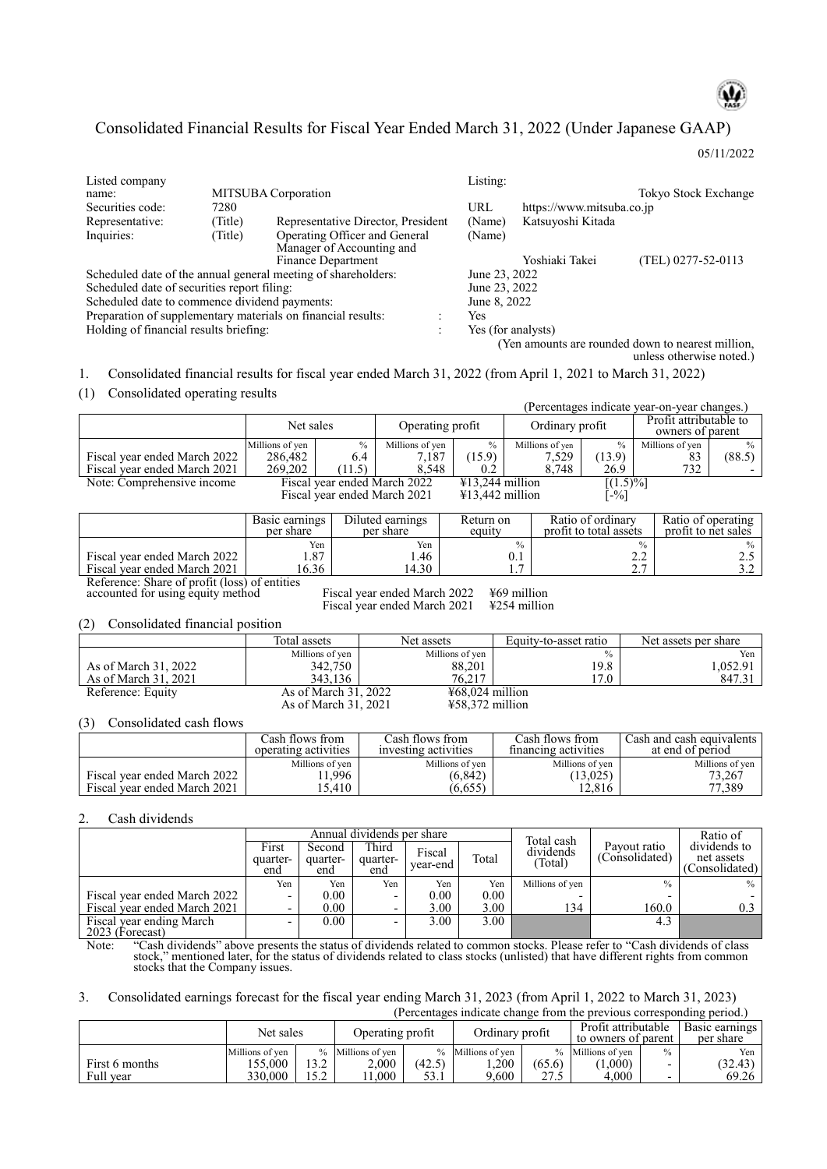

# Consolidated Financial Results for Fiscal Year Ended March 31, 2022 (Under Japanese GAAP)

05/11/2022

| Listed company                                               |         |                                                               |   | Listing:           |                           |                                                   |
|--------------------------------------------------------------|---------|---------------------------------------------------------------|---|--------------------|---------------------------|---------------------------------------------------|
| name:                                                        |         | MITSUBA Corporation                                           |   |                    |                           | Tokyo Stock Exchange                              |
| Securities code:                                             | 7280    |                                                               |   | URL                | https://www.mitsuba.co.jp |                                                   |
| Representative:                                              | Title)  | Representative Director, President                            |   | (Name)             | Katsuyoshi Kitada         |                                                   |
| Inquiries:                                                   | (Title) | Operating Officer and General<br>Manager of Accounting and    |   | (Name)             |                           |                                                   |
|                                                              |         | Finance Department                                            |   |                    | Yoshiaki Takei            | (TEL) 0277-52-0113                                |
|                                                              |         | Scheduled date of the annual general meeting of shareholders: |   | June 23, 2022      |                           |                                                   |
| Scheduled date of securities report filing:                  |         |                                                               |   | June 23, 2022      |                           |                                                   |
| Scheduled date to commence dividend payments:                |         |                                                               |   | June 8, 2022       |                           |                                                   |
| Preparation of supplementary materials on financial results: |         |                                                               |   | Yes                |                           |                                                   |
| Holding of financial results briefing:                       |         |                                                               | ٠ | Yes (for analysts) |                           |                                                   |
|                                                              |         |                                                               |   |                    |                           | (Yen amounts are rounded down to nearest million, |

unless otherwise noted.) 1. Consolidated financial results for fiscal year ended March 31, 2022 (from April 1, 2021 to March 31, 2022)

## (1) Consolidated operating results

|                                                              |                      |                               |                              |                   |                            |                       |                        |               | (Percentages indicate year-on-year changes.) |                 |
|--------------------------------------------------------------|----------------------|-------------------------------|------------------------------|-------------------|----------------------------|-----------------------|------------------------|---------------|----------------------------------------------|-----------------|
|                                                              |                      | Net sales<br>Operating profit |                              |                   |                            | Ordinary profit       |                        |               | Profit attributable to<br>owners of parent   |                 |
|                                                              | Millions of yen      | $\frac{0}{0}$                 | Millions of yen              | $\frac{0}{0}$     |                            | Millions of yen       | $\frac{0}{0}$          |               | Millions of yen                              | $\frac{0}{0}$   |
| Fiscal year ended March 2022                                 | 286,482              | 6.4                           | 7,187                        | (15.9)            |                            | 7,529                 | (13.9)                 |               | 83                                           | (88.5)          |
| Fiscal year ended March 2021                                 | 269,202              | (11.5)                        | 8,548                        | 0.2               |                            | 8,748                 | 26.9                   |               | 732                                          |                 |
| Note: Comprehensive income                                   |                      |                               | Fiscal year ended March 2022 | ¥13,244 million   |                            |                       | $[(1.5)\%]$            |               |                                              |                 |
|                                                              |                      |                               | Fiscal year ended March 2021 | $413,442$ million |                            |                       | $\lceil -\% \rceil$    |               |                                              |                 |
|                                                              | Basic earnings       |                               | Diluted earnings             | Return on         |                            |                       | Ratio of ordinary      |               | Ratio of operating                           |                 |
|                                                              | per share            |                               | per share                    | equity            |                            |                       | profit to total assets |               | profit to net sales                          |                 |
|                                                              | Yen                  |                               | Yen<br>1.46                  |                   | $\frac{0}{0}$              |                       |                        | $\frac{0}{0}$ |                                              | $\frac{0}{0}$   |
| Fiscal year ended March 2022<br>Fiscal year ended March 2021 | 1.87<br>16.36        |                               | 14.30                        |                   | 1.7                        | 0.1                   |                        | 2.2<br>2.7    |                                              | 2.5<br>3.2      |
| Reference: Share of profit (loss) of entities                |                      |                               |                              |                   |                            |                       |                        |               |                                              |                 |
| accounted for using equity method                            |                      |                               | Fiscal year ended March 2022 |                   | $\frac{1569}{100}$ million |                       |                        |               |                                              |                 |
|                                                              |                      |                               | Fiscal year ended March 2021 |                   | ¥254 million               |                       |                        |               |                                              |                 |
| Consolidated financial position<br>(2)                       |                      |                               |                              |                   |                            |                       |                        |               |                                              |                 |
|                                                              | Total assets         |                               | Net assets                   |                   |                            | Equity-to-asset ratio |                        |               | Net assets per share                         |                 |
|                                                              |                      | Millions of yen               |                              | Millions of yen   |                            |                       | $\frac{0}{0}$          |               |                                              | Yen             |
| As of March 31, 2022                                         |                      | 342,750                       |                              | 88,201            |                            |                       | 19.8                   |               |                                              | 1,052.91        |
| As of March 31, 2021                                         |                      | 343,136                       |                              | 76,217            |                            |                       | 17.0                   |               |                                              | 847.31          |
| Reference: Equity                                            |                      | As of March 31, 2022          |                              | $¥68,024$ million |                            |                       |                        |               |                                              |                 |
|                                                              |                      | As of March 31, 2021          |                              | ¥58,372 million   |                            |                       |                        |               |                                              |                 |
| Consolidated cash flows<br>(3)                               |                      |                               |                              |                   |                            |                       |                        |               |                                              |                 |
|                                                              | Cash flows from      |                               | Cash flows from              |                   |                            | Cash flows from       |                        |               | Cash and cash equivalents                    |                 |
|                                                              | operating activities |                               | investing activities         |                   |                            | financing activities  |                        |               | at end of period                             |                 |
|                                                              |                      | Millions of yen               |                              | Millions of yen   |                            |                       | Millions of yen        |               |                                              | Millions of yen |
| Fiscal year ended March 2022                                 |                      | 11,996                        |                              | (6, 842)          |                            |                       | (13, 025)              |               |                                              | 73,267          |

# 2. Cash dividends

Fiscal year ended March 2021

|                                             |                          | Annual dividends per share |                          |                    |       | Total cash           |                                | Ratio of                                     |
|---------------------------------------------|--------------------------|----------------------------|--------------------------|--------------------|-------|----------------------|--------------------------------|----------------------------------------------|
|                                             | First<br>quarter-<br>end | Second<br>quarter-<br>end  | Third<br>quarter-<br>end | Fiscal<br>vear-end | Total | dividends<br>(Total) | Payout ratio<br>(Consolidated) | dividends to<br>net assets<br>(Consolidated) |
|                                             | Yen                      | Yen                        | Yen                      | Yen                | Yen   | Millions of yen      | $\frac{0}{0}$                  | $\%$                                         |
| Fiscal year ended March 2022                |                          | 0.00                       | $\overline{\phantom{a}}$ | $0.00\,$           | 0.00  |                      |                                |                                              |
| Fiscal year ended March 2021                |                          | 0.00                       | $\overline{\phantom{0}}$ | 3.00               | 3.00  | 134                  | 160.0                          | 0.3                                          |
| Fiscal year ending March<br>2023 (Forecast) |                          | 0.00                       | $\overline{\phantom{0}}$ | 3.00               | 3.00  |                      | 4.3                            |                                              |

Fiscal year ended March 2022 11,996 (6,842) (13,025) 15scal year ended March 2022 11,996 (6,842) (13,025) (13,025)

Note: "Cash dividends" above presents the status of dividends related to common stocks. Please refer to "Cash dividends of class stock," mentioned later, for the status of dividends related to class stocks (unlisted) that have different rights from common stocks that the Company issues.

## 3. Consolidated earnings forecast for the fiscal year ending March 31, 2023 (from April 1, 2022 to March 31, 2023)

(Percentages indicate change from the previous corresponding period.)

|                             | Net sales                            |             | Operating profit                    |                | Ordinary profit                    |               | Profit attributable<br>to owners of parent |                                                | Basic earnings<br>per share |  |
|-----------------------------|--------------------------------------|-------------|-------------------------------------|----------------|------------------------------------|---------------|--------------------------------------------|------------------------------------------------|-----------------------------|--|
| First 6 months<br>Full year | Millions of ven<br>55,000<br>330,000 | 3.2<br>15.2 | % Millions of ven<br>2.000<br>000.1 | (42.5)<br>53.1 | % Millions of ven<br>.200<br>9.600 | (65.6)<br>275 | % Millions of ven<br>(000)<br>4.000        | $\frac{0}{0}$<br>-<br>$\overline{\phantom{0}}$ | Yen<br>(32.43)<br>69.26     |  |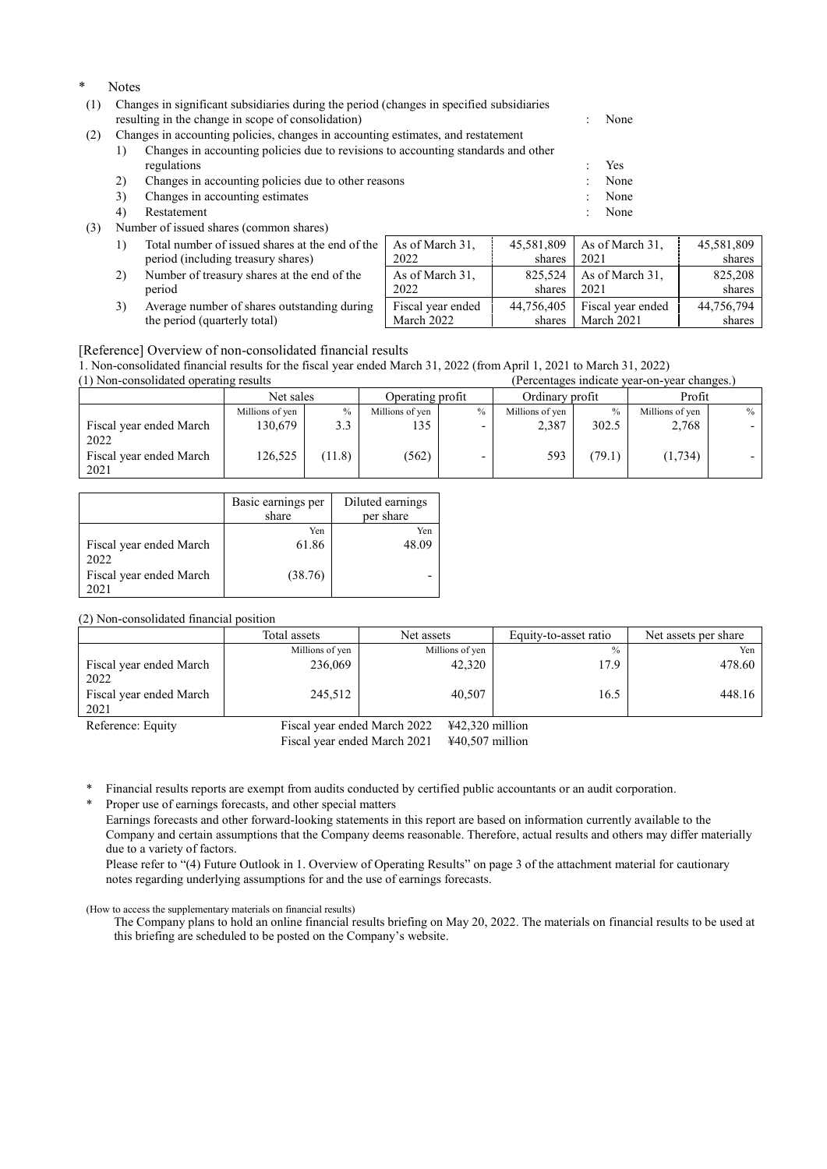- \* Notes
- (1) Changes in significant subsidiaries during the period (changes in specified subsidiaries resulting in the change in scope of consolidation) : None
- (2) Changes in accounting policies, changes in accounting estimates, and restatement

| Changes in accounting policies due to revisions to accounting standards and other |      |
|-----------------------------------------------------------------------------------|------|
| regulations                                                                       | Yes  |
| Changes in accounting policies due to other reasons                               | None |

- 3) Changes in accounting estimates : None
- 4) Restatement : None
- (3) Number of issued shares (common shares)
	- 1) Total number of issued shares at the end of the period (including treasury shares)
	- 2) Number of treasury shares at the end of the period
	- 3) Average number of shares outstanding during the period (quarterly total)

| e | As of March 31,   | 45,581,809 | As of March 31,   | 45,581,809 |
|---|-------------------|------------|-------------------|------------|
|   | 2022              | shares     | 2021              | shares     |
|   | As of March 31,   | 825,524    | As of March 31,   | 825,208    |
|   | 2022              | shares     | 2021              | shares     |
|   | Fiscal year ended | 44,756,405 | Fiscal year ended | 44,756,794 |
|   | March 2022        | shares     | March 2021        | shares     |

### [Reference] Overview of non-consolidated financial results

1. Non-consolidated financial results for the fiscal year ended March 31, 2022 (from April 1, 2021 to March 31, 2022)  $(1)$  Non-consolidated operating results

| (1) Non-consondated operating results |                 |        |                  |               |                 |       | refecentages indicate year-on-year changes.) |               |
|---------------------------------------|-----------------|--------|------------------|---------------|-----------------|-------|----------------------------------------------|---------------|
|                                       | Net sales       |        | Operating profit |               | Ordinary profit |       | Profit                                       |               |
|                                       | Millions of yen | $\%$   | Millions of yen  | $\frac{0}{0}$ | Millions of yen |       | Millions of yen                              | $\frac{0}{0}$ |
| Fiscal year ended March<br>2022       | 130.679         | 3.3    | 135              | -             | 2,387           | 302.5 | 2,768                                        |               |
| Fiscal year ended March<br>2021       | 126,525         | (11.8) | (562)            |               | 593             | 79.1) | (1,734)                                      |               |

|                         | Basic earnings per<br>share | Diluted earnings<br>per share |
|-------------------------|-----------------------------|-------------------------------|
|                         | Yen                         | Yen                           |
| Fiscal year ended March | 61.86                       | 48.09                         |
| 2022                    |                             |                               |
| Fiscal year ended March | (38.76)                     |                               |
| 021                     |                             |                               |

(2) Non-consolidated financial position

|                                 | Total assets                 | Net assets        | Equity-to-asset ratio | Net assets per share |
|---------------------------------|------------------------------|-------------------|-----------------------|----------------------|
|                                 | Millions of yen              | Millions of yen   | $\frac{0}{0}$         | Yen                  |
| Fiscal year ended March<br>2022 | 236,069                      | 42,320            | 17.9                  | 478.60               |
| Fiscal year ended March<br>2021 | 245,512                      | 40,507            | 16.5                  | 448.16               |
| Reference: Equity               | Fiscal year ended March 2022 | $442,320$ million |                       |                      |

Fiscal year ended March 2021 ¥40,507 million

\* Financial results reports are exempt from audits conducted by certified public accountants or an audit corporation.

Proper use of earnings forecasts, and other special matters

Earnings forecasts and other forward-looking statements in this report are based on information currently available to the Company and certain assumptions that the Company deems reasonable. Therefore, actual results and others may differ materially due to a variety of factors.

Please refer to "(4) Future Outlook in 1. Overview of Operating Results" on page 3 of the attachment material for cautionary notes regarding underlying assumptions for and the use of earnings forecasts.

## (How to access the supplementary materials on financial results)

The Company plans to hold an online financial results briefing on May 20, 2022. The materials on financial results to be used at this briefing are scheduled to be posted on the Company's website.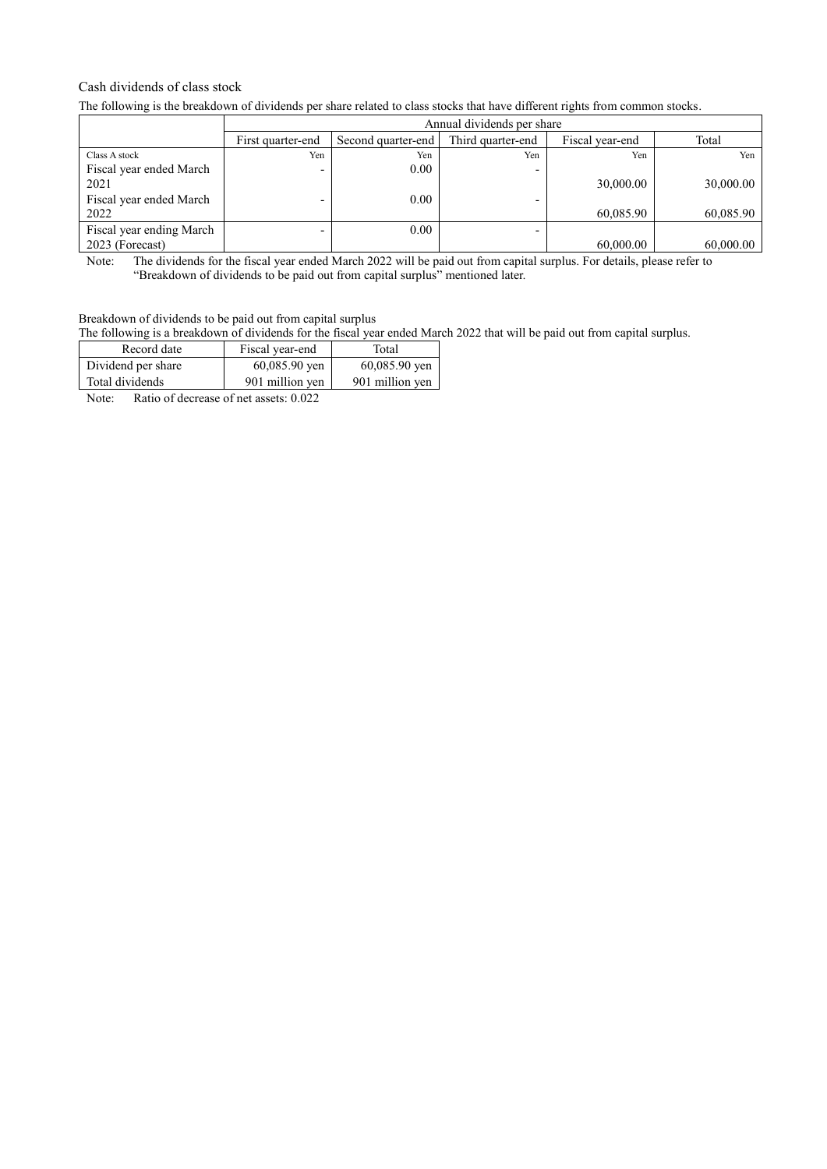## Cash dividends of class stock

The following is the breakdown of dividends per share related to class stocks that have different rights from common stocks.

|                          |                   | Annual dividends per share |                   |                 |           |  |  |  |  |
|--------------------------|-------------------|----------------------------|-------------------|-----------------|-----------|--|--|--|--|
|                          | First quarter-end | Second quarter-end         | Third quarter-end | Fiscal year-end | Total     |  |  |  |  |
| Class A stock            | Yen               | Yen                        | Yen               | Yen             | Yen       |  |  |  |  |
| Fiscal year ended March  |                   | 0.00                       | -                 |                 |           |  |  |  |  |
| 2021                     |                   |                            |                   | 30,000.00       | 30,000.00 |  |  |  |  |
| Fiscal year ended March  |                   | 0.00                       | -                 |                 |           |  |  |  |  |
| 2022                     |                   |                            |                   | 60,085.90       | 60,085.90 |  |  |  |  |
| Fiscal year ending March |                   | 0.00                       | -                 |                 |           |  |  |  |  |
| 2023 (Forecast)          |                   |                            |                   | 60,000.00       | 60,000.00 |  |  |  |  |

Note: The dividends for the fiscal year ended March 2022 will be paid out from capital surplus. For details, please refer to "Breakdown of dividends to be paid out from capital surplus" mentioned later.

# Breakdown of dividends to be paid out from capital surplus

The following is a breakdown of dividends for the fiscal year ended March 2022 that will be paid out from capital surplus.

| Record date                                                                                                                                                                                                                                                                                                                        | Fiscal year-end                           | Total           |
|------------------------------------------------------------------------------------------------------------------------------------------------------------------------------------------------------------------------------------------------------------------------------------------------------------------------------------|-------------------------------------------|-----------------|
| Dividend per share                                                                                                                                                                                                                                                                                                                 | $60,085.90$ yen                           | $60,085.90$ yen |
| Total dividends                                                                                                                                                                                                                                                                                                                    | 901 million yen                           | 901 million yen |
| $\mathbb{R}$ $\mathbb{R}$ $\mathbb{R}$ $\mathbb{R}$ $\mathbb{R}$ $\mathbb{R}$ $\mathbb{R}$ $\mathbb{R}$ $\mathbb{R}$ $\mathbb{R}$ $\mathbb{R}$ $\mathbb{R}$ $\mathbb{R}$ $\mathbb{R}$ $\mathbb{R}$ $\mathbb{R}$ $\mathbb{R}$ $\mathbb{R}$ $\mathbb{R}$ $\mathbb{R}$ $\mathbb{R}$ $\mathbb{R}$ $\mathbb{R}$ $\mathbb{R}$ $\mathbb{$ | $\sim$ $\sim$ $\sim$ $\sim$ $\sim$ $\sim$ |                 |

Note: Ratio of decrease of net assets: 0.022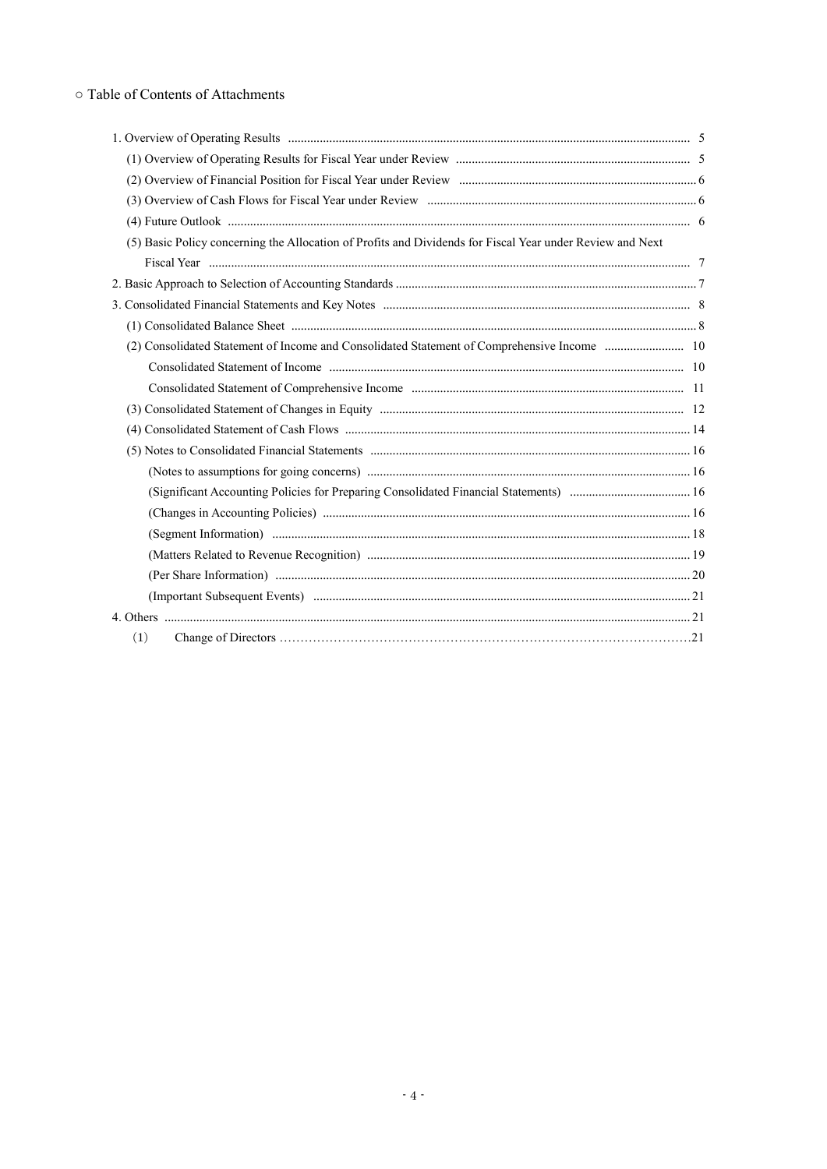# o Table of Contents of Attachments

| (5) Basic Policy concerning the Allocation of Profits and Dividends for Fiscal Year under Review and Next |  |
|-----------------------------------------------------------------------------------------------------------|--|
|                                                                                                           |  |
|                                                                                                           |  |
|                                                                                                           |  |
|                                                                                                           |  |
|                                                                                                           |  |
|                                                                                                           |  |
|                                                                                                           |  |
|                                                                                                           |  |
|                                                                                                           |  |
|                                                                                                           |  |
|                                                                                                           |  |
|                                                                                                           |  |
|                                                                                                           |  |
|                                                                                                           |  |
|                                                                                                           |  |
|                                                                                                           |  |
|                                                                                                           |  |
|                                                                                                           |  |
| (1)                                                                                                       |  |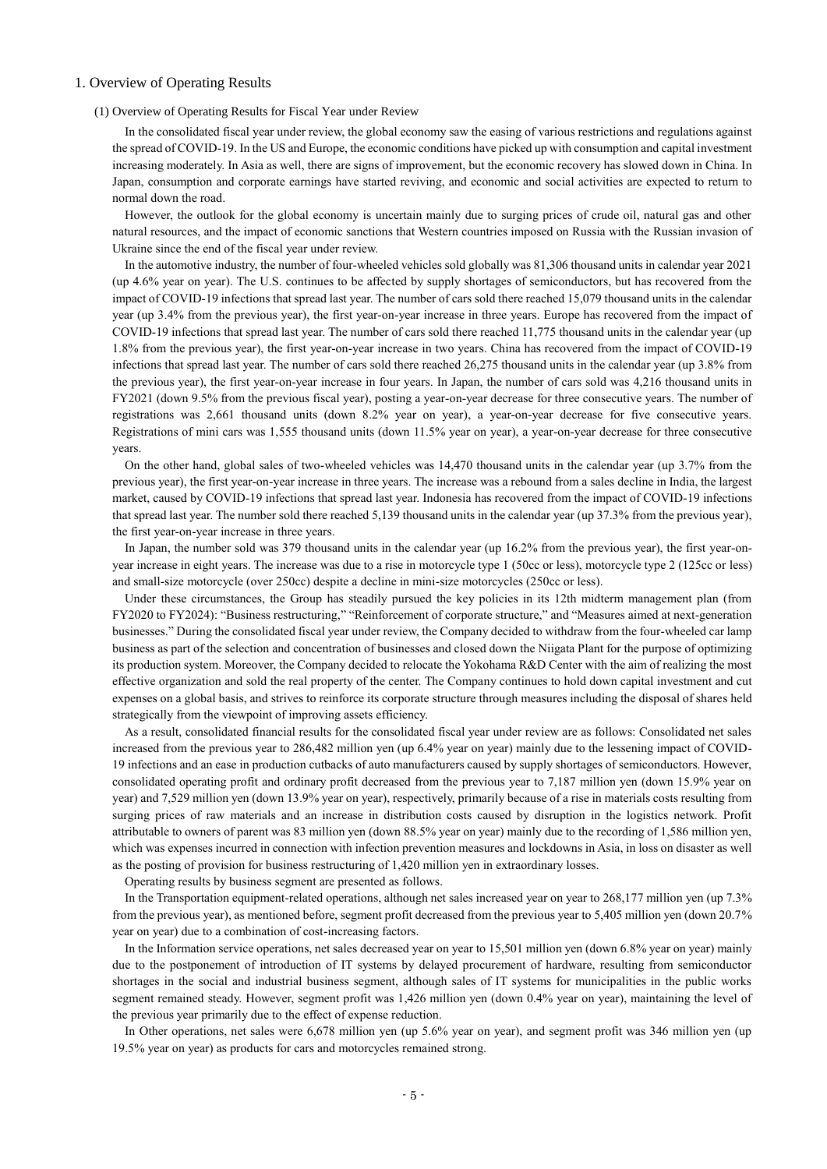## 1. Overview of Operating Results

### (1) Overview of Operating Results for Fiscal Year under Review

In the consolidated fiscal year under review, the global economy saw the easing of various restrictions and regulations against the spread of COVID-19. In the US and Europe, the economic conditions have picked up with consumption and capital investment increasing moderately. In Asia as well, there are signs of improvement, but the economic recovery has slowed down in China. In Japan, consumption and corporate earnings have started reviving, and economic and social activities are expected to return to normal down the road.

However, the outlook for the global economy is uncertain mainly due to surging prices of crude oil, natural gas and other natural resources, and the impact of economic sanctions that Western countries imposed on Russia with the Russian invasion of Ukraine since the end of the fiscal year under review.

In the automotive industry, the number of four-wheeled vehicles sold globally was 81,306 thousand units in calendar year 2021 (up 4.6% year on year). The U.S. continues to be affected by supply shortages of semiconductors, but has recovered from the impact of COVID-19 infections that spread last year. The number of cars sold there reached 15,079 thousand units in the calendar year (up 3.4% from the previous year), the first year-on-year increase in three years. Europe has recovered from the impact of COVID-19 infections that spread last year. The number of cars sold there reached 11,775 thousand units in the calendar year (up 1.8% from the previous year), the first year-on-year increase in two years. China has recovered from the impact of COVID-19 infections that spread last year. The number of cars sold there reached 26,275 thousand units in the calendar year (up 3.8% from the previous year), the first year-on-year increase in four years. In Japan, the number of cars sold was 4,216 thousand units in FY2021 (down 9.5% from the previous fiscal year), posting a year-on-year decrease for three consecutive years. The number of registrations was 2,661 thousand units (down 8.2% year on year), a year-on-year decrease for five consecutive years. Registrations of mini cars was 1,555 thousand units (down 11.5% year on year), a year-on-year decrease for three consecutive years.

On the other hand, global sales of two-wheeled vehicles was 14,470 thousand units in the calendar year (up 3.7% from the previous year), the first year-on-year increase in three years. The increase was a rebound from a sales decline in India, the largest market, caused by COVID-19 infections that spread last year. Indonesia has recovered from the impact of COVID-19 infections that spread last year. The number sold there reached 5,139 thousand units in the calendar year (up 37.3% from the previous year), the first year-on-year increase in three years.

In Japan, the number sold was 379 thousand units in the calendar year (up 16.2% from the previous year), the first year-onyear increase in eight years. The increase was due to a rise in motorcycle type 1 (50cc or less), motorcycle type 2 (125cc or less) and small-size motorcycle (over 250cc) despite a decline in mini-size motorcycles (250cc or less).

Under these circumstances, the Group has steadily pursued the key policies in its 12th midterm management plan (from FY2020 to FY2024): "Business restructuring," "Reinforcement of corporate structure," and "Measures aimed at next-generation businesses." During the consolidated fiscal year under review, the Company decided to withdraw from the four-wheeled car lamp business as part of the selection and concentration of businesses and closed down the Niigata Plant for the purpose of optimizing its production system. Moreover, the Company decided to relocate the Yokohama R&D Center with the aim of realizing the most effective organization and sold the real property of the center. The Company continues to hold down capital investment and cut expenses on a global basis, and strives to reinforce its corporate structure through measures including the disposal of shares held strategically from the viewpoint of improving assets efficiency.

As a result, consolidated financial results for the consolidated fiscal year under review are as follows: Consolidated net sales increased from the previous year to 286,482 million yen (up 6.4% year on year) mainly due to the lessening impact of COVID-19 infections and an ease in production cutbacks of auto manufacturers caused by supply shortages of semiconductors. However, consolidated operating profit and ordinary profit decreased from the previous year to 7,187 million yen (down 15.9% year on year) and 7,529 million yen (down 13.9% year on year), respectively, primarily because of a rise in materials costs resulting from surging prices of raw materials and an increase in distribution costs caused by disruption in the logistics network. Profit attributable to owners of parent was 83 million yen (down 88.5% year on year) mainly due to the recording of 1,586 million yen, which was expenses incurred in connection with infection prevention measures and lockdowns in Asia, in loss on disaster as well as the posting of provision for business restructuring of 1,420 million yen in extraordinary losses.

Operating results by business segment are presented as follows.

In the Transportation equipment-related operations, although net sales increased year on year to 268,177 million yen (up 7.3% from the previous year), as mentioned before, segment profit decreased from the previous year to 5,405 million yen (down 20.7% year on year) due to a combination of cost-increasing factors.

In the Information service operations, net sales decreased year on year to 15,501 million yen (down 6.8% year on year) mainly due to the postponement of introduction of IT systems by delayed procurement of hardware, resulting from semiconductor shortages in the social and industrial business segment, although sales of IT systems for municipalities in the public works segment remained steady. However, segment profit was 1,426 million yen (down 0.4% year on year), maintaining the level of the previous year primarily due to the effect of expense reduction.

In Other operations, net sales were 6,678 million yen (up 5.6% year on year), and segment profit was 346 million yen (up 19.5% year on year) as products for cars and motorcycles remained strong.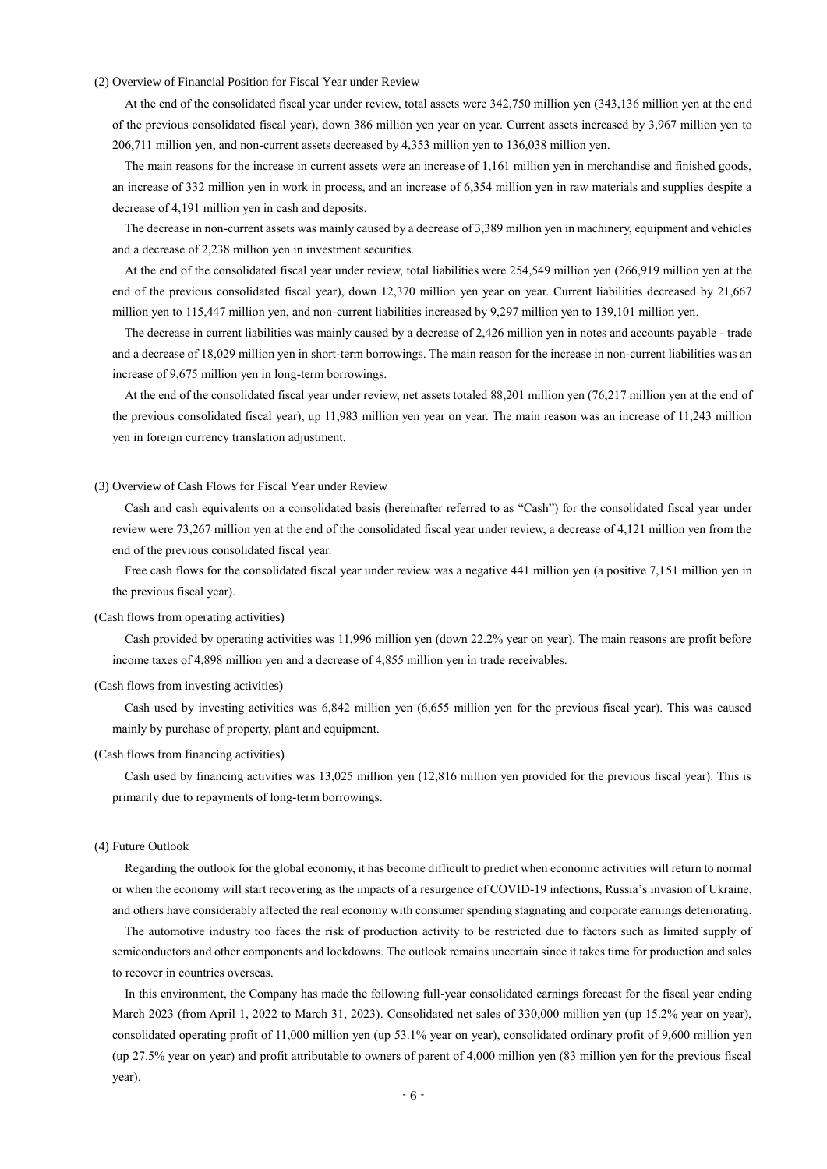## (2) Overview of Financial Position for Fiscal Year under Review

At the end of the consolidated fiscal year under review, total assets were 342,750 million yen (343,136 million yen at the end of the previous consolidated fiscal year), down 386 million yen year on year. Current assets increased by 3,967 million yen to 206,711 million yen, and non-current assets decreased by 4,353 million yen to 136,038 million yen.

The main reasons for the increase in current assets were an increase of 1,161 million yen in merchandise and finished goods, an increase of 332 million yen in work in process, and an increase of 6,354 million yen in raw materials and supplies despite a decrease of 4,191 million yen in cash and deposits.

The decrease in non-current assets was mainly caused by a decrease of 3,389 million yen in machinery, equipment and vehicles and a decrease of 2,238 million yen in investment securities.

At the end of the consolidated fiscal year under review, total liabilities were 254,549 million yen (266,919 million yen at the end of the previous consolidated fiscal year), down 12,370 million yen year on year. Current liabilities decreased by 21,667 million yen to 115,447 million yen, and non-current liabilities increased by 9,297 million yen to 139,101 million yen.

The decrease in current liabilities was mainly caused by a decrease of 2,426 million yen in notes and accounts payable - trade and a decrease of 18,029 million yen in short-term borrowings. The main reason for the increase in non-current liabilities was an increase of 9,675 million yen in long-term borrowings.

At the end of the consolidated fiscal year under review, net assets totaled 88,201 million yen (76,217 million yen at the end of the previous consolidated fiscal year), up 11,983 million yen year on year. The main reason was an increase of 11,243 million yen in foreign currency translation adjustment.

### (3) Overview of Cash Flows for Fiscal Year under Review

Cash and cash equivalents on a consolidated basis (hereinafter referred to as "Cash") for the consolidated fiscal year under review were 73,267 million yen at the end of the consolidated fiscal year under review, a decrease of 4,121 million yen from the end of the previous consolidated fiscal year.

Free cash flows for the consolidated fiscal year under review was a negative 441 million yen (a positive 7,151 million yen in the previous fiscal year).

#### (Cash flows from operating activities)

Cash provided by operating activities was 11,996 million yen (down 22.2% year on year). The main reasons are profit before income taxes of 4,898 million yen and a decrease of 4,855 million yen in trade receivables.

### (Cash flows from investing activities)

Cash used by investing activities was 6,842 million yen (6,655 million yen for the previous fiscal year). This was caused mainly by purchase of property, plant and equipment.

### (Cash flows from financing activities)

Cash used by financing activities was 13,025 million yen (12,816 million yen provided for the previous fiscal year). This is primarily due to repayments of long-term borrowings.

### (4) Future Outlook

Regarding the outlook for the global economy, it has become difficult to predict when economic activities will return to normal or when the economy will start recovering as the impacts of a resurgence of COVID-19 infections, Russia's invasion of Ukraine, and others have considerably affected the real economy with consumer spending stagnating and corporate earnings deteriorating.

The automotive industry too faces the risk of production activity to be restricted due to factors such as limited supply of semiconductors and other components and lockdowns. The outlook remains uncertain since it takes time for production and sales to recover in countries overseas.

In this environment, the Company has made the following full-year consolidated earnings forecast for the fiscal year ending March 2023 (from April 1, 2022 to March 31, 2023). Consolidated net sales of 330,000 million yen (up 15.2% year on year), consolidated operating profit of 11,000 million yen (up 53.1% year on year), consolidated ordinary profit of 9,600 million yen (up 27.5% year on year) and profit attributable to owners of parent of 4,000 million yen (83 million yen for the previous fiscal year).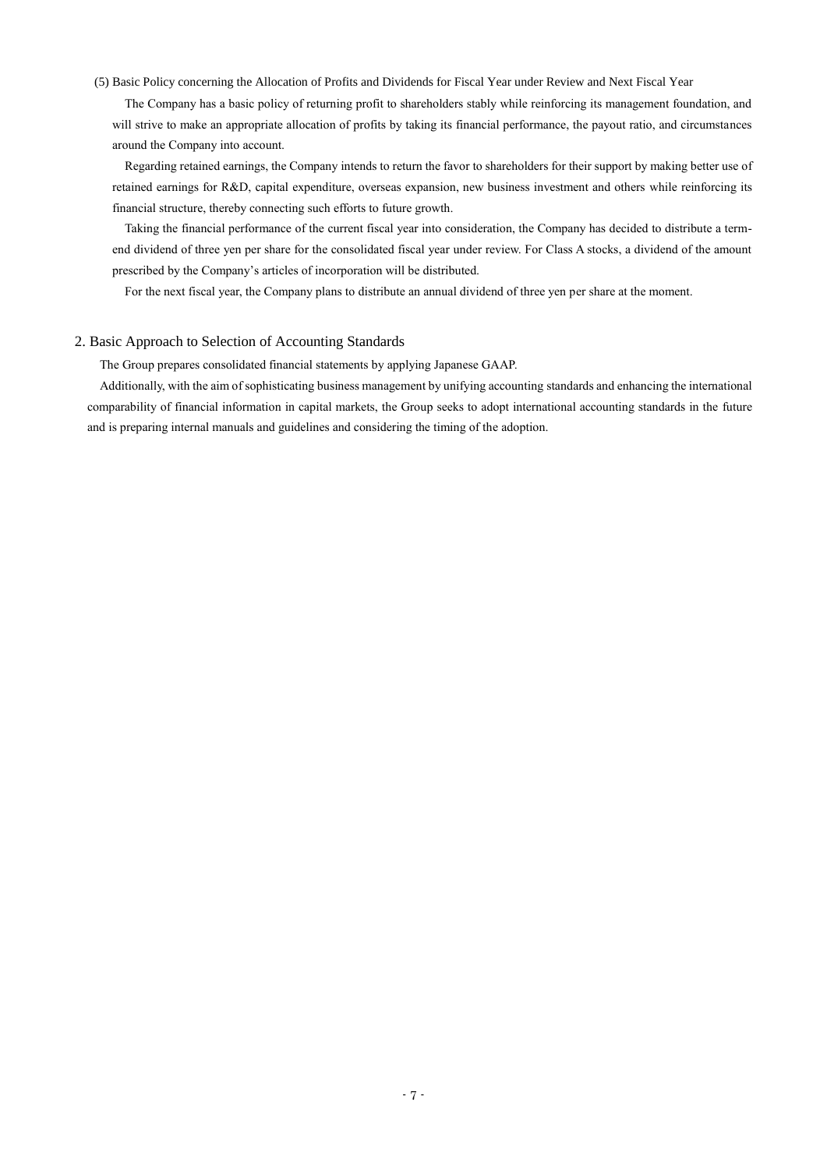## (5) Basic Policy concerning the Allocation of Profits and Dividends for Fiscal Year under Review and Next Fiscal Year

The Company has a basic policy of returning profit to shareholders stably while reinforcing its management foundation, and will strive to make an appropriate allocation of profits by taking its financial performance, the payout ratio, and circumstances around the Company into account.

Regarding retained earnings, the Company intends to return the favor to shareholders for their support by making better use of retained earnings for R&D, capital expenditure, overseas expansion, new business investment and others while reinforcing its financial structure, thereby connecting such efforts to future growth.

Taking the financial performance of the current fiscal year into consideration, the Company has decided to distribute a termend dividend of three yen per share for the consolidated fiscal year under review. For Class A stocks, a dividend of the amount prescribed by the Company's articles of incorporation will be distributed.

For the next fiscal year, the Company plans to distribute an annual dividend of three yen per share at the moment.

## 2. Basic Approach to Selection of Accounting Standards

The Group prepares consolidated financial statements by applying Japanese GAAP.

Additionally, with the aim of sophisticating business management by unifying accounting standards and enhancing the international comparability of financial information in capital markets, the Group seeks to adopt international accounting standards in the future and is preparing internal manuals and guidelines and considering the timing of the adoption.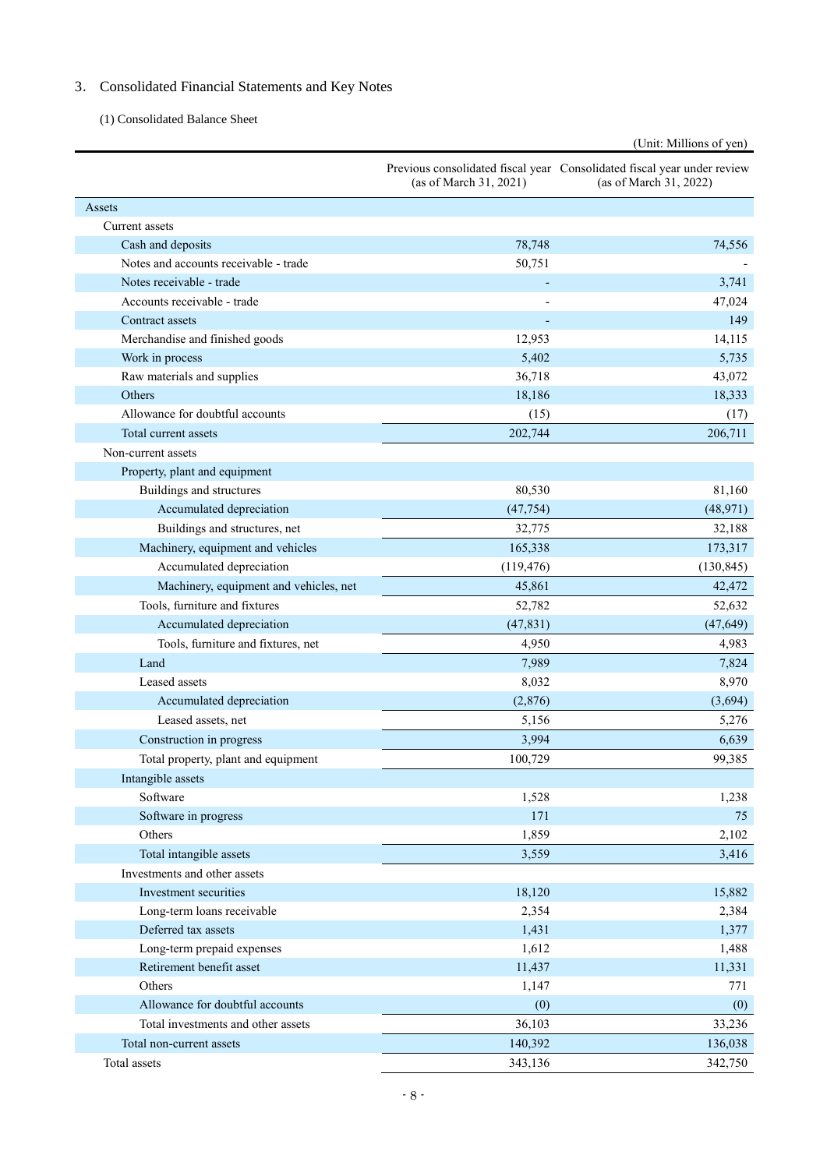# 3. Consolidated Financial Statements and Key Notes

(1) Consolidated Balance Sheet

|                                        |                        | (Unit: Millions of yen)                                                                           |
|----------------------------------------|------------------------|---------------------------------------------------------------------------------------------------|
|                                        | (as of March 31, 2021) | Previous consolidated fiscal year Consolidated fiscal year under review<br>(as of March 31, 2022) |
| Assets                                 |                        |                                                                                                   |
| Current assets                         |                        |                                                                                                   |
| Cash and deposits                      | 78,748                 | 74,556                                                                                            |
| Notes and accounts receivable - trade  | 50,751                 |                                                                                                   |
| Notes receivable - trade               |                        | 3,741                                                                                             |
| Accounts receivable - trade            |                        | 47,024                                                                                            |
| Contract assets                        |                        | 149                                                                                               |
| Merchandise and finished goods         | 12,953                 | 14,115                                                                                            |
| Work in process                        | 5,402                  | 5,735                                                                                             |
| Raw materials and supplies             | 36,718                 | 43,072                                                                                            |
| Others                                 | 18,186                 | 18,333                                                                                            |
| Allowance for doubtful accounts        | (15)                   | (17)                                                                                              |
| Total current assets                   | 202,744                | 206,711                                                                                           |
| Non-current assets                     |                        |                                                                                                   |
| Property, plant and equipment          |                        |                                                                                                   |
| Buildings and structures               | 80,530                 | 81,160                                                                                            |
| Accumulated depreciation               | (47, 754)              | (48,971)                                                                                          |
| Buildings and structures, net          | 32,775                 | 32,188                                                                                            |
| Machinery, equipment and vehicles      | 165,338                | 173,317                                                                                           |
| Accumulated depreciation               | (119, 476)             | (130, 845)                                                                                        |
| Machinery, equipment and vehicles, net | 45,861                 | 42,472                                                                                            |
| Tools, furniture and fixtures          | 52,782                 | 52,632                                                                                            |
| Accumulated depreciation               | (47, 831)              | (47, 649)                                                                                         |
| Tools, furniture and fixtures, net     | 4,950                  | 4,983                                                                                             |
| Land                                   | 7,989                  | 7,824                                                                                             |
| Leased assets                          | 8,032                  | 8,970                                                                                             |
| Accumulated depreciation               | (2,876)                | (3,694)                                                                                           |
| Leased assets, net                     | 5,156                  | 5,276                                                                                             |
| Construction in progress               | 3,994                  | 6,639                                                                                             |
| Total property, plant and equipment    | 100,729                | 99,385                                                                                            |
| Intangible assets                      |                        |                                                                                                   |
| Software                               | 1,528                  | 1,238                                                                                             |
| Software in progress                   | 171                    | 75                                                                                                |
| Others                                 | 1,859                  | 2,102                                                                                             |
| Total intangible assets                | 3,559                  | 3,416                                                                                             |
| Investments and other assets           |                        |                                                                                                   |
| Investment securities                  | 18,120                 | 15,882                                                                                            |
| Long-term loans receivable             | 2,354                  | 2,384                                                                                             |
| Deferred tax assets                    | 1,431                  | 1,377                                                                                             |
| Long-term prepaid expenses             | 1,612                  | 1,488                                                                                             |
| Retirement benefit asset               | 11,437                 | 11,331                                                                                            |
| Others                                 | 1,147                  | 771                                                                                               |
| Allowance for doubtful accounts        | (0)                    | (0)                                                                                               |
| Total investments and other assets     | 36,103                 | 33,236                                                                                            |
| Total non-current assets               | 140,392                | 136,038                                                                                           |
| Total assets                           | 343,136                | 342,750                                                                                           |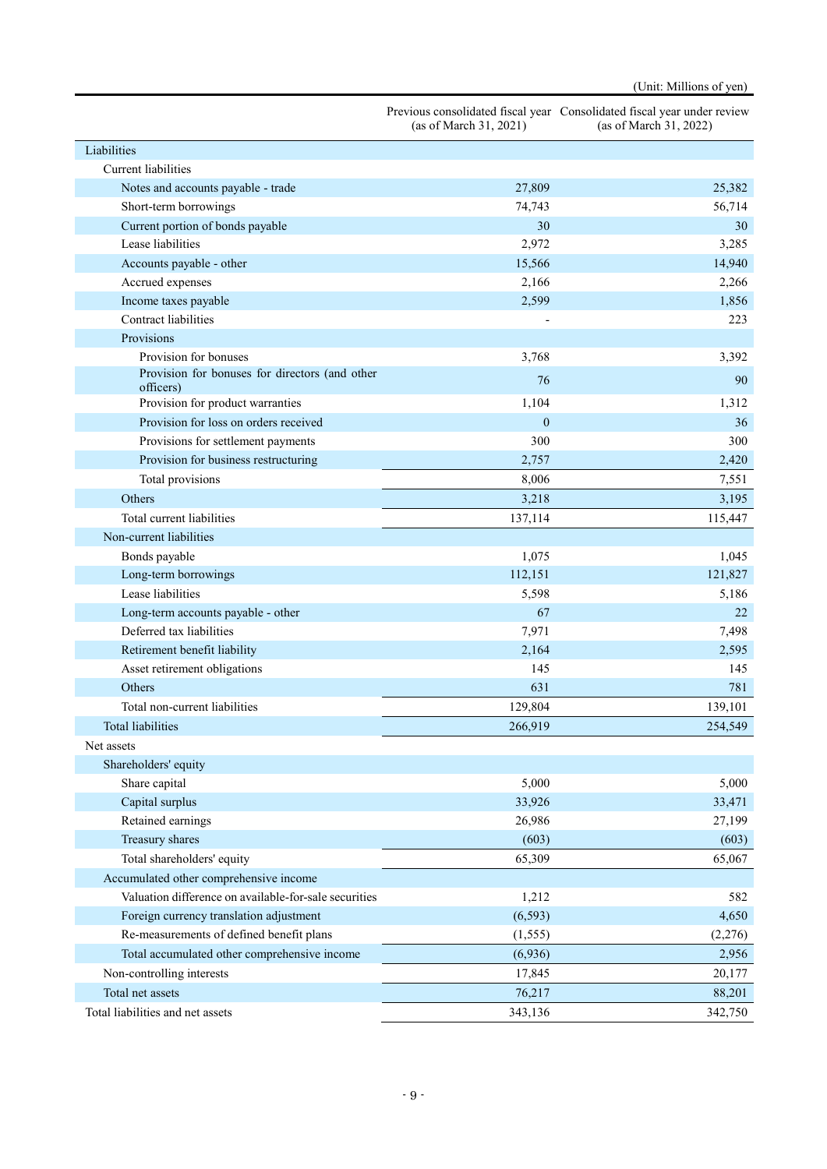|                                                             | (as of March $31, 2021$ ) | Previous consolidated fiscal year Consolidated fiscal year under review<br>(as of March 31, 2022) |
|-------------------------------------------------------------|---------------------------|---------------------------------------------------------------------------------------------------|
| Liabilities                                                 |                           |                                                                                                   |
| Current liabilities                                         |                           |                                                                                                   |
| Notes and accounts payable - trade                          | 27,809                    | 25,382                                                                                            |
| Short-term borrowings                                       | 74,743                    | 56,714                                                                                            |
| Current portion of bonds payable                            | 30                        | 30                                                                                                |
| Lease liabilities                                           | 2,972                     | 3,285                                                                                             |
| Accounts payable - other                                    | 15,566                    | 14,940                                                                                            |
| Accrued expenses                                            | 2,166                     | 2,266                                                                                             |
| Income taxes payable                                        | 2,599                     | 1,856                                                                                             |
| <b>Contract liabilities</b>                                 |                           | 223                                                                                               |
| Provisions                                                  |                           |                                                                                                   |
| Provision for bonuses                                       | 3,768                     | 3,392                                                                                             |
| Provision for bonuses for directors (and other<br>officers) | 76                        | 90                                                                                                |
| Provision for product warranties                            | 1,104                     | 1,312                                                                                             |
| Provision for loss on orders received                       | $\boldsymbol{0}$          | 36                                                                                                |
| Provisions for settlement payments                          | 300                       | 300                                                                                               |
| Provision for business restructuring                        | 2,757                     | 2,420                                                                                             |
| Total provisions                                            | 8,006                     | 7,551                                                                                             |
| Others                                                      | 3,218                     | 3,195                                                                                             |
| Total current liabilities                                   | 137,114                   | 115,447                                                                                           |
| Non-current liabilities                                     |                           |                                                                                                   |
| Bonds payable                                               | 1,075                     | 1,045                                                                                             |
| Long-term borrowings                                        | 112,151                   | 121,827                                                                                           |
| Lease liabilities                                           | 5,598                     | 5,186                                                                                             |
| Long-term accounts payable - other                          | 67                        | 22                                                                                                |
| Deferred tax liabilities                                    | 7,971                     | 7,498                                                                                             |
| Retirement benefit liability                                | 2,164                     | 2,595                                                                                             |
| Asset retirement obligations                                | 145                       | 145                                                                                               |
| Others                                                      | 631                       | 781                                                                                               |
| Total non-current liabilities                               | 129,804                   | 139,101                                                                                           |
| <b>Total liabilities</b>                                    | 266,919                   | 254,549                                                                                           |
| Net assets                                                  |                           |                                                                                                   |
| Shareholders' equity                                        |                           |                                                                                                   |
| Share capital                                               | 5,000                     | 5,000                                                                                             |
| Capital surplus                                             | 33,926                    | 33,471                                                                                            |
| Retained earnings                                           | 26,986                    | 27,199                                                                                            |
| Treasury shares                                             | (603)                     | (603)                                                                                             |
| Total shareholders' equity                                  | 65,309                    | 65,067                                                                                            |
| Accumulated other comprehensive income                      |                           |                                                                                                   |
| Valuation difference on available-for-sale securities       | 1,212                     | 582                                                                                               |
| Foreign currency translation adjustment                     | (6, 593)                  | 4,650                                                                                             |
| Re-measurements of defined benefit plans                    | (1, 555)                  | (2,276)                                                                                           |
| Total accumulated other comprehensive income                | (6,936)                   | 2,956                                                                                             |
| Non-controlling interests                                   | 17,845                    | 20,177                                                                                            |
| Total net assets                                            | 76,217                    | 88,201                                                                                            |
| Total liabilities and net assets                            | 343,136                   | 342,750                                                                                           |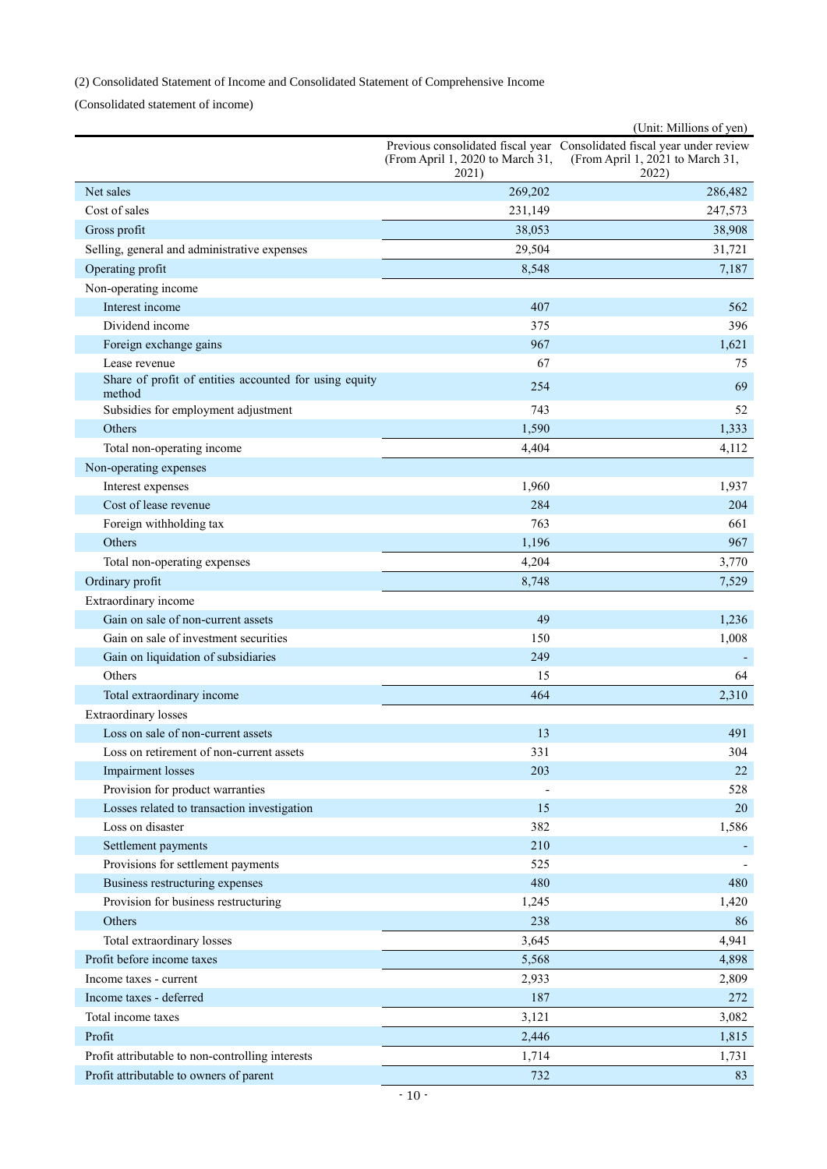# (2) Consolidated Statement of Income and Consolidated Statement of Comprehensive Income

(Consolidated statement of income)

|                                                                  |                                           | (Unit: Millions of yen)                                                                                              |
|------------------------------------------------------------------|-------------------------------------------|----------------------------------------------------------------------------------------------------------------------|
|                                                                  | (From April 1, 2020 to March 31,<br>2021) | Previous consolidated fiscal year Consolidated fiscal year under review<br>(From April 1, 2021 to March 31,<br>2022) |
| Net sales                                                        | 269,202                                   | 286,482                                                                                                              |
| Cost of sales                                                    | 231,149                                   | 247,573                                                                                                              |
| Gross profit                                                     | 38,053                                    | 38,908                                                                                                               |
| Selling, general and administrative expenses                     | 29,504                                    | 31,721                                                                                                               |
| Operating profit                                                 | 8,548                                     | 7,187                                                                                                                |
| Non-operating income                                             |                                           |                                                                                                                      |
| Interest income                                                  | 407                                       | 562                                                                                                                  |
| Dividend income                                                  | 375                                       | 396                                                                                                                  |
| Foreign exchange gains                                           | 967                                       | 1,621                                                                                                                |
| Lease revenue                                                    | 67                                        | 75                                                                                                                   |
| Share of profit of entities accounted for using equity<br>method | 254                                       | 69                                                                                                                   |
| Subsidies for employment adjustment                              | 743                                       | 52                                                                                                                   |
| Others                                                           | 1,590                                     | 1,333                                                                                                                |
| Total non-operating income                                       | 4,404                                     | 4,112                                                                                                                |
| Non-operating expenses                                           |                                           |                                                                                                                      |
| Interest expenses                                                | 1,960                                     | 1,937                                                                                                                |
| Cost of lease revenue                                            | 284                                       | 204                                                                                                                  |
| Foreign withholding tax                                          | 763                                       | 661                                                                                                                  |
| Others                                                           | 1,196                                     | 967                                                                                                                  |
| Total non-operating expenses                                     | 4,204                                     | 3,770                                                                                                                |
| Ordinary profit                                                  | 8,748                                     | 7,529                                                                                                                |
| Extraordinary income                                             |                                           |                                                                                                                      |
| Gain on sale of non-current assets                               | 49                                        | 1,236                                                                                                                |
| Gain on sale of investment securities                            | 150                                       | 1,008                                                                                                                |
| Gain on liquidation of subsidiaries                              | 249                                       |                                                                                                                      |
| Others                                                           | 15                                        | 64                                                                                                                   |
| Total extraordinary income                                       | 464                                       | 2,310                                                                                                                |
| <b>Extraordinary losses</b>                                      |                                           |                                                                                                                      |
| Loss on sale of non-current assets                               | 13                                        | 491                                                                                                                  |
| Loss on retirement of non-current assets                         | 331                                       | 304                                                                                                                  |
| <b>Impairment</b> losses                                         | 203                                       | 22                                                                                                                   |
| Provision for product warranties                                 |                                           | 528                                                                                                                  |
| Losses related to transaction investigation                      | 15                                        | 20                                                                                                                   |
| Loss on disaster                                                 | 382                                       | 1,586                                                                                                                |
| Settlement payments                                              | 210                                       |                                                                                                                      |
| Provisions for settlement payments                               | 525                                       |                                                                                                                      |
| Business restructuring expenses                                  | 480                                       | 480                                                                                                                  |
| Provision for business restructuring                             | 1,245                                     | 1,420                                                                                                                |
| Others                                                           | 238                                       | 86                                                                                                                   |
| Total extraordinary losses                                       | 3,645                                     | 4,941                                                                                                                |
| Profit before income taxes                                       | 5,568                                     | 4,898                                                                                                                |
| Income taxes - current                                           | 2,933                                     | 2,809                                                                                                                |
| Income taxes - deferred                                          | 187                                       | 272                                                                                                                  |
| Total income taxes                                               | 3,121                                     | 3,082                                                                                                                |
| Profit                                                           | 2,446                                     | 1,815                                                                                                                |
| Profit attributable to non-controlling interests                 | 1,714                                     | 1,731                                                                                                                |
| Profit attributable to owners of parent                          | 732                                       | 83                                                                                                                   |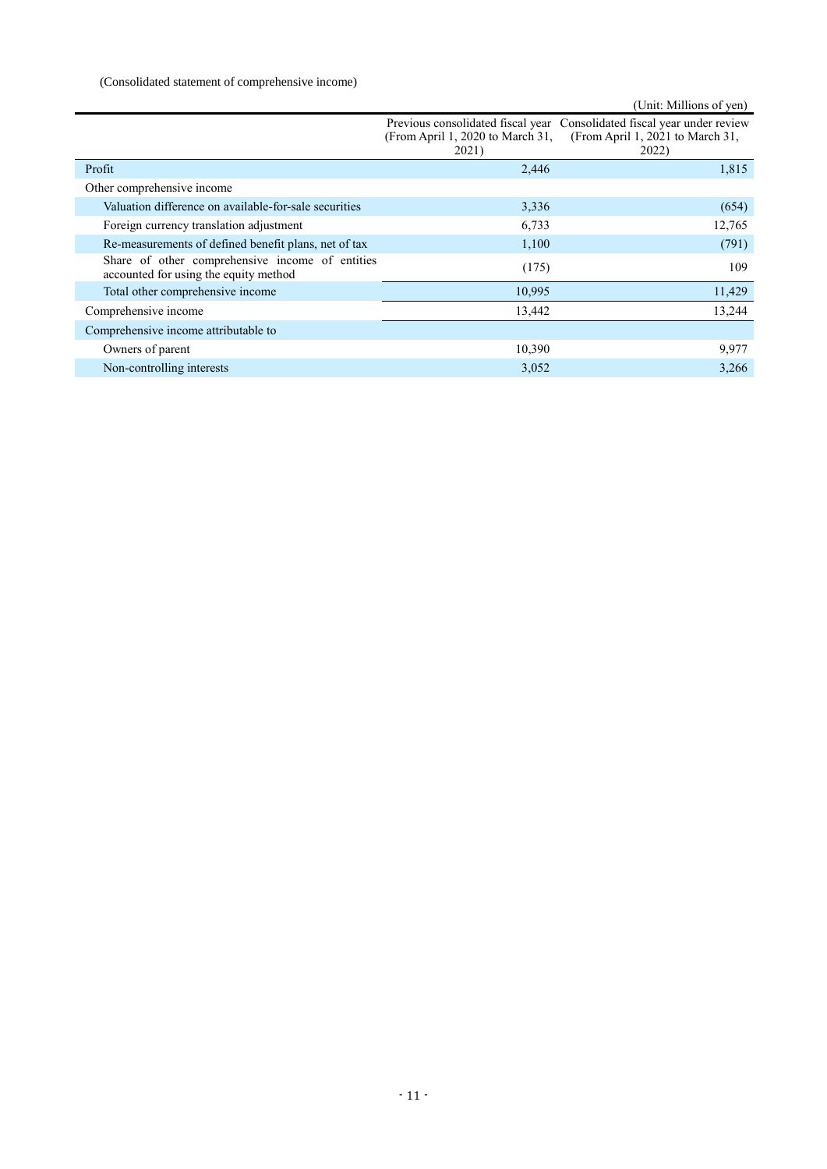# (Consolidated statement of comprehensive income)

|                                                                                          |                                           | (Unit: Millions of yen)                                                                                              |
|------------------------------------------------------------------------------------------|-------------------------------------------|----------------------------------------------------------------------------------------------------------------------|
|                                                                                          | (From April 1, 2020 to March 31,<br>2021) | Previous consolidated fiscal year Consolidated fiscal year under review<br>(From April 1, 2021 to March 31,<br>2022) |
| Profit                                                                                   | 2,446                                     | 1,815                                                                                                                |
| Other comprehensive income                                                               |                                           |                                                                                                                      |
| Valuation difference on available-for-sale securities                                    | 3,336                                     | (654)                                                                                                                |
| Foreign currency translation adjustment                                                  | 6,733                                     | 12,765                                                                                                               |
| Re-measurements of defined benefit plans, net of tax                                     | 1,100                                     | (791)                                                                                                                |
| Share of other comprehensive income of entities<br>accounted for using the equity method | (175)                                     | 109                                                                                                                  |
| Total other comprehensive income                                                         | 10,995                                    | 11,429                                                                                                               |
| Comprehensive income                                                                     | 13,442                                    | 13,244                                                                                                               |
| Comprehensive income attributable to                                                     |                                           |                                                                                                                      |
| Owners of parent                                                                         | 10,390                                    | 9,977                                                                                                                |
| Non-controlling interests                                                                | 3,052                                     | 3,266                                                                                                                |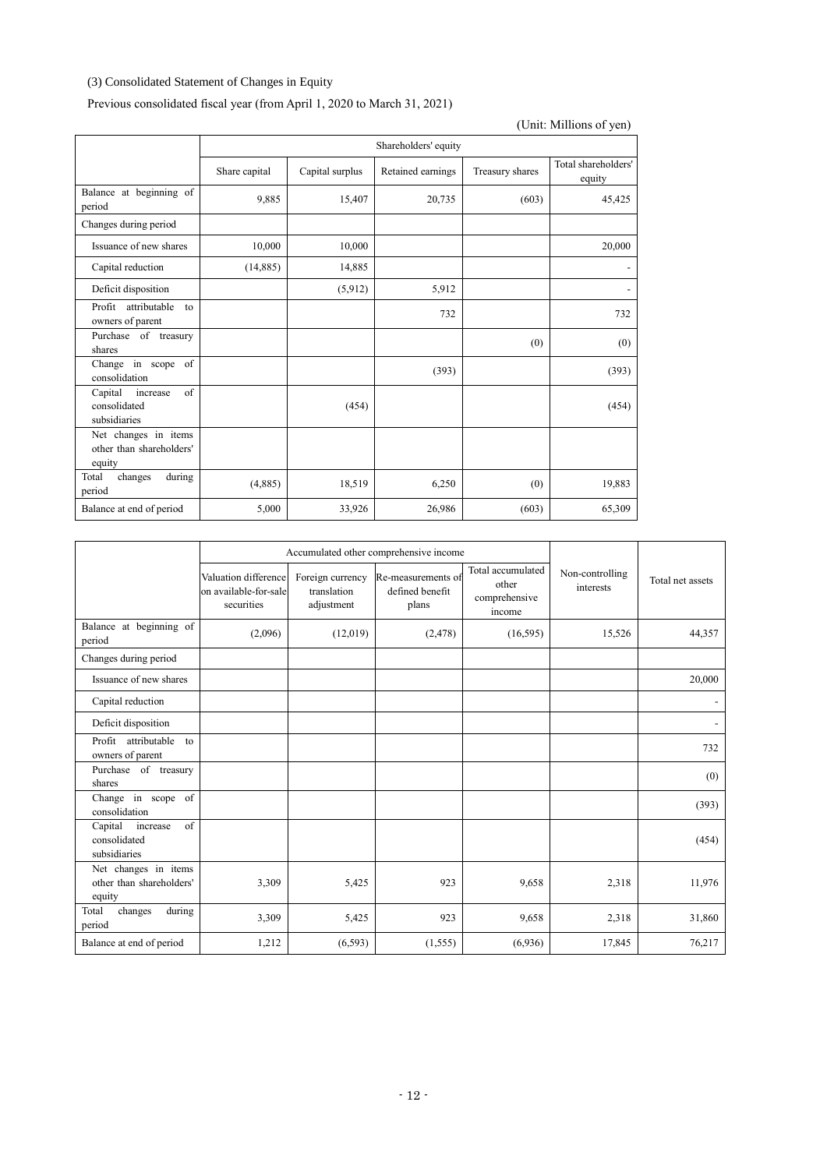# (3) Consolidated Statement of Changes in Equity

Previous consolidated fiscal year (from April 1, 2020 to March 31, 2021)

|                                                                   | Shareholders' equity |                 |                   |                 |                               |  |
|-------------------------------------------------------------------|----------------------|-----------------|-------------------|-----------------|-------------------------------|--|
|                                                                   | Share capital        | Capital surplus | Retained earnings | Treasury shares | Total shareholders'<br>equity |  |
| Balance at beginning of<br>period                                 | 9.885                | 15,407          | 20,735            | (603)           | 45,425                        |  |
| Changes during period                                             |                      |                 |                   |                 |                               |  |
| Issuance of new shares                                            | 10,000               | 10,000          |                   |                 | 20,000                        |  |
| Capital reduction                                                 | (14,885)             | 14,885          |                   |                 |                               |  |
| Deficit disposition                                               |                      | (5,912)         | 5,912             |                 |                               |  |
| Profit<br>attributable<br>to<br>owners of parent                  |                      |                 | 732               |                 | 732                           |  |
| Purchase of treasury<br>shares                                    |                      |                 |                   | (0)             | (0)                           |  |
| Change in scope<br>of<br>consolidation                            |                      |                 | (393)             |                 | (393)                         |  |
| Capital<br>$\sigma$ f<br>increase<br>consolidated<br>subsidiaries |                      | (454)           |                   |                 | (454)                         |  |
| Net changes in items<br>other than shareholders'<br>equity        |                      |                 |                   |                 |                               |  |
| during<br>Total<br>changes<br>period                              | (4,885)              | 18,519          | 6,250             | (0)             | 19,883                        |  |
| Balance at end of period                                          | 5,000                | 33,926          | 26,986            | (603)           | 65,309                        |  |

|                                                            |                                                             | Accumulated other comprehensive income        |                                                |                                                       |                              |                  |
|------------------------------------------------------------|-------------------------------------------------------------|-----------------------------------------------|------------------------------------------------|-------------------------------------------------------|------------------------------|------------------|
|                                                            | Valuation difference<br>on available-for-sale<br>securities | Foreign currency<br>translation<br>adjustment | Re-measurements of<br>defined benefit<br>plans | Total accumulated<br>other<br>comprehensive<br>income | Non-controlling<br>interests | Total net assets |
| Balance at beginning of<br>period                          | (2,096)                                                     | (12,019)                                      | (2, 478)                                       | (16, 595)                                             | 15,526                       | 44,357           |
| Changes during period                                      |                                                             |                                               |                                                |                                                       |                              |                  |
| Issuance of new shares                                     |                                                             |                                               |                                                |                                                       |                              | 20,000           |
| Capital reduction                                          |                                                             |                                               |                                                |                                                       |                              |                  |
| Deficit disposition                                        |                                                             |                                               |                                                |                                                       |                              |                  |
| Profit attributable to<br>owners of parent                 |                                                             |                                               |                                                |                                                       |                              | 732              |
| Purchase of treasury<br>shares                             |                                                             |                                               |                                                |                                                       |                              | (0)              |
| Change in scope of<br>consolidation                        |                                                             |                                               |                                                |                                                       |                              | (393)            |
| of<br>Capital<br>increase<br>consolidated<br>subsidiaries  |                                                             |                                               |                                                |                                                       |                              | (454)            |
| Net changes in items<br>other than shareholders'<br>equity | 3,309                                                       | 5,425                                         | 923                                            | 9,658                                                 | 2,318                        | 11,976           |
| changes<br>Total<br>during<br>period                       | 3,309                                                       | 5,425                                         | 923                                            | 9,658                                                 | 2,318                        | 31,860           |
| Balance at end of period                                   | 1,212                                                       | (6, 593)                                      | (1, 555)                                       | (6,936)                                               | 17,845                       | 76,217           |

(Unit: Millions of yen)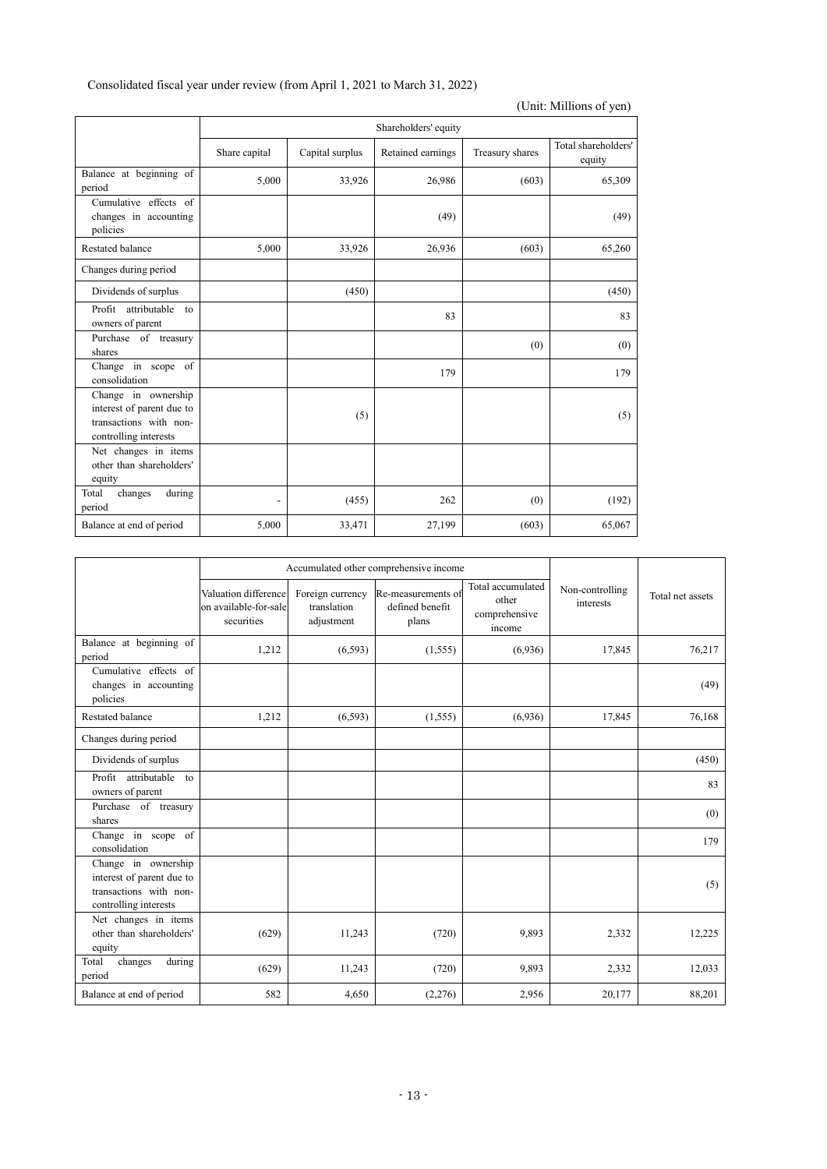| Consolidated fiscal year under review (from April 1, 2021 to March 31, 2022) |  |
|------------------------------------------------------------------------------|--|
|------------------------------------------------------------------------------|--|

| (Unit: Millions of yen)                                                                             |               |                      |                 |                               |        |  |  |
|-----------------------------------------------------------------------------------------------------|---------------|----------------------|-----------------|-------------------------------|--------|--|--|
|                                                                                                     |               | Shareholders' equity |                 |                               |        |  |  |
|                                                                                                     | Share capital | Capital surplus      | Treasury shares | Total shareholders'<br>equity |        |  |  |
| Balance at beginning of<br>period                                                                   | 5,000         | 33,926               | 26,986          | (603)                         | 65,309 |  |  |
| Cumulative effects of<br>changes in accounting<br>policies                                          |               |                      | (49)            |                               | (49)   |  |  |
| Restated balance                                                                                    | 5,000         | 33,926               | 26,936          | (603)                         | 65,260 |  |  |
| Changes during period                                                                               |               |                      |                 |                               |        |  |  |
| Dividends of surplus                                                                                |               | (450)                |                 |                               | (450)  |  |  |
| Profit attributable<br>$\overline{t}$<br>owners of parent                                           |               |                      | 83              |                               | 83     |  |  |
| Purchase of treasury<br>shares                                                                      |               |                      |                 | (0)                           | (0)    |  |  |
| Change in scope of<br>consolidation                                                                 |               |                      | 179             |                               | 179    |  |  |
| Change in ownership<br>interest of parent due to<br>transactions with non-<br>controlling interests |               | (5)                  |                 |                               | (5)    |  |  |
| Net changes in items<br>other than shareholders'<br>equity                                          |               |                      |                 |                               |        |  |  |
| changes<br>during<br>Total<br>period                                                                |               | (455)                | 262             | (0)                           | (192)  |  |  |
| Balance at end of period                                                                            | 5,000         | 33,471               | 27,199          | (603)                         | 65,067 |  |  |

|                                                                                                     |                                                             | Accumulated other comprehensive income        |                                                |                                                       |                              |                  |
|-----------------------------------------------------------------------------------------------------|-------------------------------------------------------------|-----------------------------------------------|------------------------------------------------|-------------------------------------------------------|------------------------------|------------------|
|                                                                                                     | Valuation difference<br>on available-for-sale<br>securities | Foreign currency<br>translation<br>adjustment | Re-measurements of<br>defined benefit<br>plans | Total accumulated<br>other<br>comprehensive<br>income | Non-controlling<br>interests | Total net assets |
| Balance at beginning of<br>period                                                                   | 1,212                                                       | (6, 593)                                      | (1,555)                                        | (6,936)                                               | 17,845                       | 76,217           |
| Cumulative effects of<br>changes in accounting<br>policies                                          |                                                             |                                               |                                                |                                                       |                              | (49)             |
| <b>Restated balance</b>                                                                             | 1,212                                                       | (6, 593)                                      | (1, 555)                                       | (6,936)                                               | 17,845                       | 76,168           |
| Changes during period                                                                               |                                                             |                                               |                                                |                                                       |                              |                  |
| Dividends of surplus                                                                                |                                                             |                                               |                                                |                                                       |                              | (450)            |
| Profit attributable to<br>owners of parent                                                          |                                                             |                                               |                                                |                                                       |                              | 83               |
| Purchase of treasury<br>shares                                                                      |                                                             |                                               |                                                |                                                       |                              | (0)              |
| Change in scope of<br>consolidation                                                                 |                                                             |                                               |                                                |                                                       |                              | 179              |
| Change in ownership<br>interest of parent due to<br>transactions with non-<br>controlling interests |                                                             |                                               |                                                |                                                       |                              | (5)              |
| Net changes in items<br>other than shareholders'<br>equity                                          | (629)                                                       | 11,243                                        | (720)                                          | 9,893                                                 | 2,332                        | 12,225           |
| during<br>Total<br>changes<br>period                                                                | (629)                                                       | 11,243                                        | (720)                                          | 9,893                                                 | 2,332                        | 12,033           |
| Balance at end of period                                                                            | 582                                                         | 4,650                                         | (2,276)                                        | 2,956                                                 | 20,177                       | 88,201           |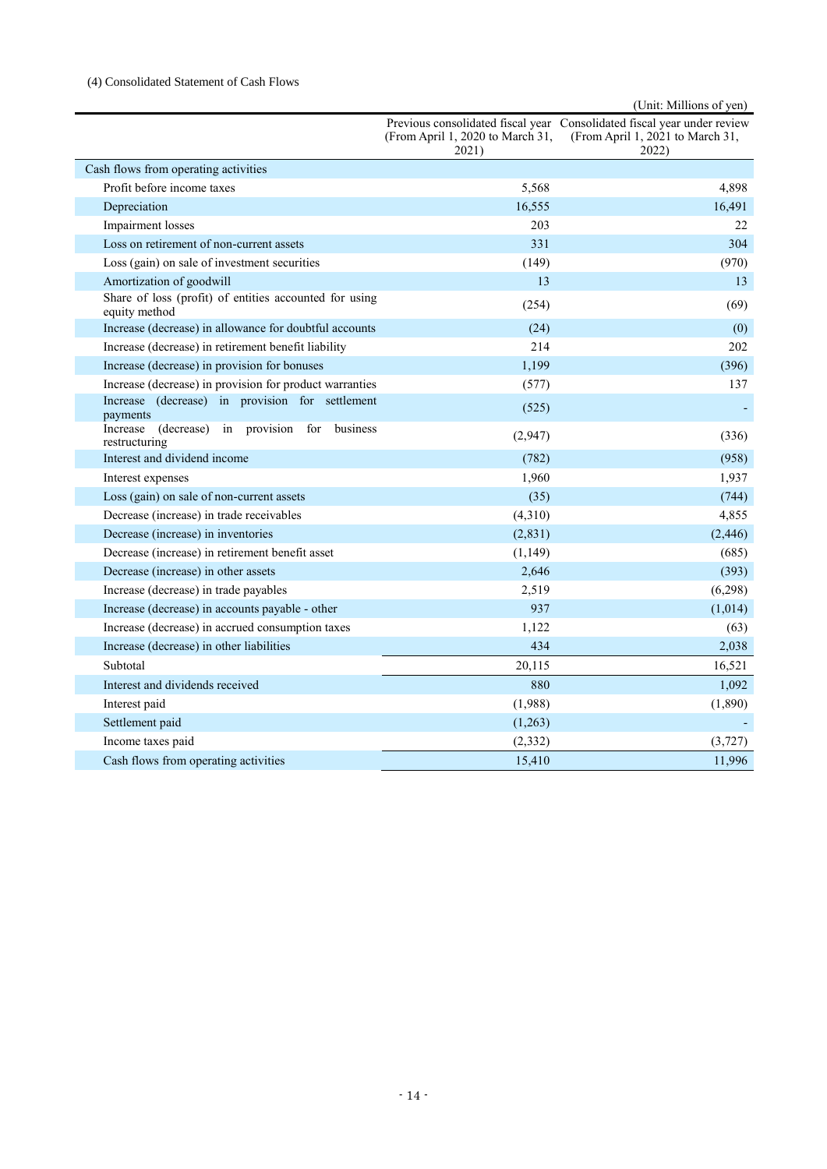# (4) Consolidated Statement of Cash Flows

|                                                                            |                                           | (Unit: Millions of yen)                                                                                              |
|----------------------------------------------------------------------------|-------------------------------------------|----------------------------------------------------------------------------------------------------------------------|
|                                                                            | (From April 1, 2020 to March 31,<br>2021) | Previous consolidated fiscal year Consolidated fiscal year under review<br>(From April 1, 2021 to March 31,<br>2022) |
| Cash flows from operating activities                                       |                                           |                                                                                                                      |
| Profit before income taxes                                                 | 5,568                                     | 4,898                                                                                                                |
| Depreciation                                                               | 16,555                                    | 16,491                                                                                                               |
| Impairment losses                                                          | 203                                       | 22                                                                                                                   |
| Loss on retirement of non-current assets                                   | 331                                       | 304                                                                                                                  |
| Loss (gain) on sale of investment securities                               | (149)                                     | (970)                                                                                                                |
| Amortization of goodwill                                                   | 13                                        | 13                                                                                                                   |
| Share of loss (profit) of entities accounted for using<br>equity method    | (254)                                     | (69)                                                                                                                 |
| Increase (decrease) in allowance for doubtful accounts                     | (24)                                      | (0)                                                                                                                  |
| Increase (decrease) in retirement benefit liability                        | 214                                       | 202                                                                                                                  |
| Increase (decrease) in provision for bonuses                               | 1,199                                     | (396)                                                                                                                |
| Increase (decrease) in provision for product warranties                    | (577)                                     | 137                                                                                                                  |
| Increase (decrease) in provision for settlement<br>payments                | (525)                                     |                                                                                                                      |
| (decrease)<br>in<br>provision for<br>Increase<br>business<br>restructuring | (2,947)                                   | (336)                                                                                                                |
| Interest and dividend income                                               | (782)                                     | (958)                                                                                                                |
| Interest expenses                                                          | 1,960                                     | 1,937                                                                                                                |
| Loss (gain) on sale of non-current assets                                  | (35)                                      | (744)                                                                                                                |
| Decrease (increase) in trade receivables                                   | (4,310)                                   | 4,855                                                                                                                |
| Decrease (increase) in inventories                                         | (2,831)                                   | (2, 446)                                                                                                             |
| Decrease (increase) in retirement benefit asset                            | (1, 149)                                  | (685)                                                                                                                |
| Decrease (increase) in other assets                                        | 2,646                                     | (393)                                                                                                                |
| Increase (decrease) in trade payables                                      | 2,519                                     | (6,298)                                                                                                              |
| Increase (decrease) in accounts payable - other                            | 937                                       | (1,014)                                                                                                              |
| Increase (decrease) in accrued consumption taxes                           | 1,122                                     | (63)                                                                                                                 |
| Increase (decrease) in other liabilities                                   | 434                                       | 2,038                                                                                                                |
| Subtotal                                                                   | 20,115                                    | 16,521                                                                                                               |
| Interest and dividends received                                            | 880                                       | 1,092                                                                                                                |
| Interest paid                                                              | (1,988)                                   | (1,890)                                                                                                              |
| Settlement paid                                                            | (1,263)                                   |                                                                                                                      |
| Income taxes paid                                                          | (2, 332)                                  | (3, 727)                                                                                                             |
| Cash flows from operating activities                                       | 15,410                                    | 11,996                                                                                                               |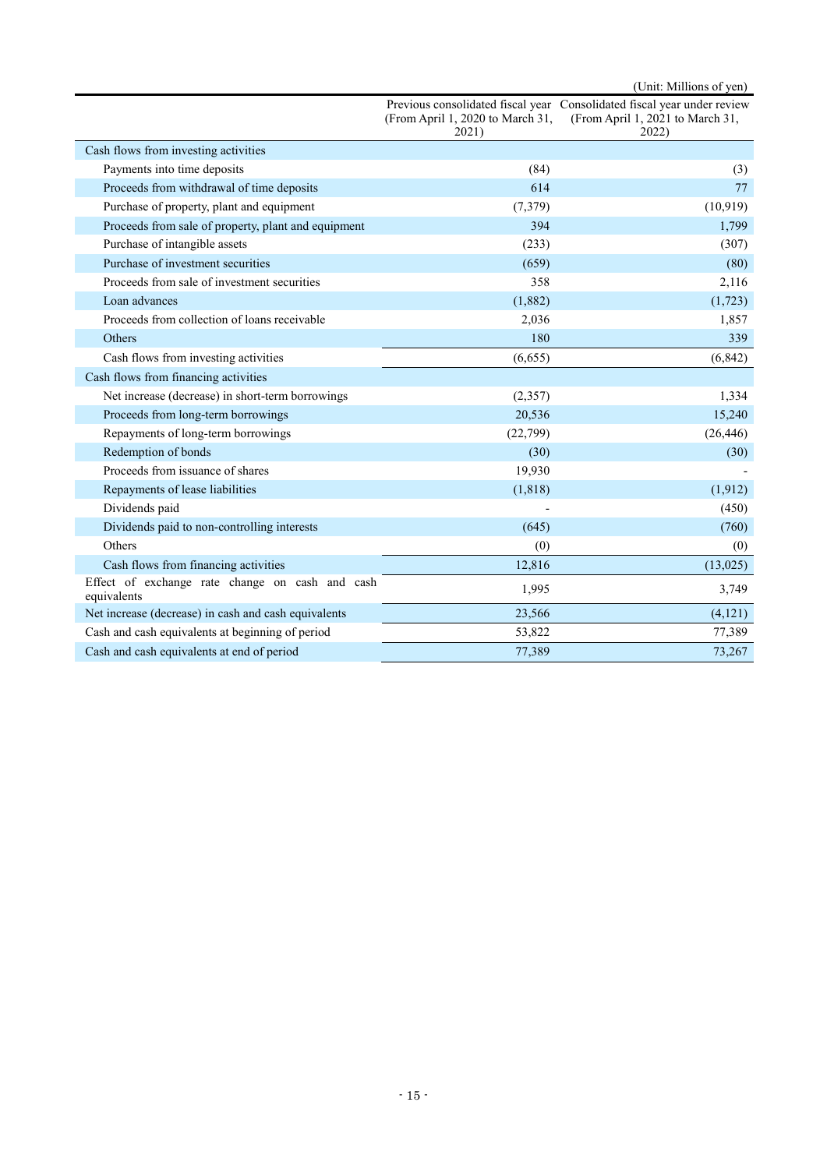(Unit: Millions of yen) Previous consolidated fiscal year Consolidated fiscal year under review (From April 1, 2020 to March 31, 2021) (From April 1, 2021 to March 31, 2022) Cash flows from investing activities Payments into time deposits (3) (3) (3) Proceeds from withdrawal of time deposits 614 77 Purchase of property, plant and equipment (7,379) (10,919) Proceeds from sale of property, plant and equipment 394 1,799 Purchase of intangible assets (233) (307) Purchase of investment securities (659) (80) Proceeds from sale of investment securities 358 358 2,116 Loan advances  $(1,882)$  (1,723) Proceeds from collection of loans receivable 2,036 2,036 1,857 Others 239 and 239 and 239 and 239 and 239 and 239 and 239 and 239 and 239 and 239 and 239 and 239 and 239 and 239 and 239 and 239 and 239 and 239 and 239 and 239 and 239 and 239 and 239 and 239 and 239 and 239 and 239 and Cash flows from investing activities (6,655) (6,842) Cash flows from financing activities Net increase (decrease) in short-term borrowings (2,357) 1,334 Proceeds from long-term borrowings 20,536 15,240 Repayments of long-term borrowings (22,799) (26,446) Redemption of bonds  $(30)$  (30) (30) (30) Proceeds from issuance of shares 19,930 Repayments of lease liabilities (1,818) (1,818) (1,912) Dividends paid (450) Dividends paid to non-controlling interests (645) (760) Others  $(0)$  (0) Cash flows from financing activities 12,816 (13,025) Effect of exchange rate change on cash and cash <br>
equivalents 1,995 3,749 Net increase (decrease) in cash and cash equivalents 23,566 (4,121) Cash and cash equivalents at beginning of period 53,822 77,389 Cash and cash equivalents at end of period 77,389 73,267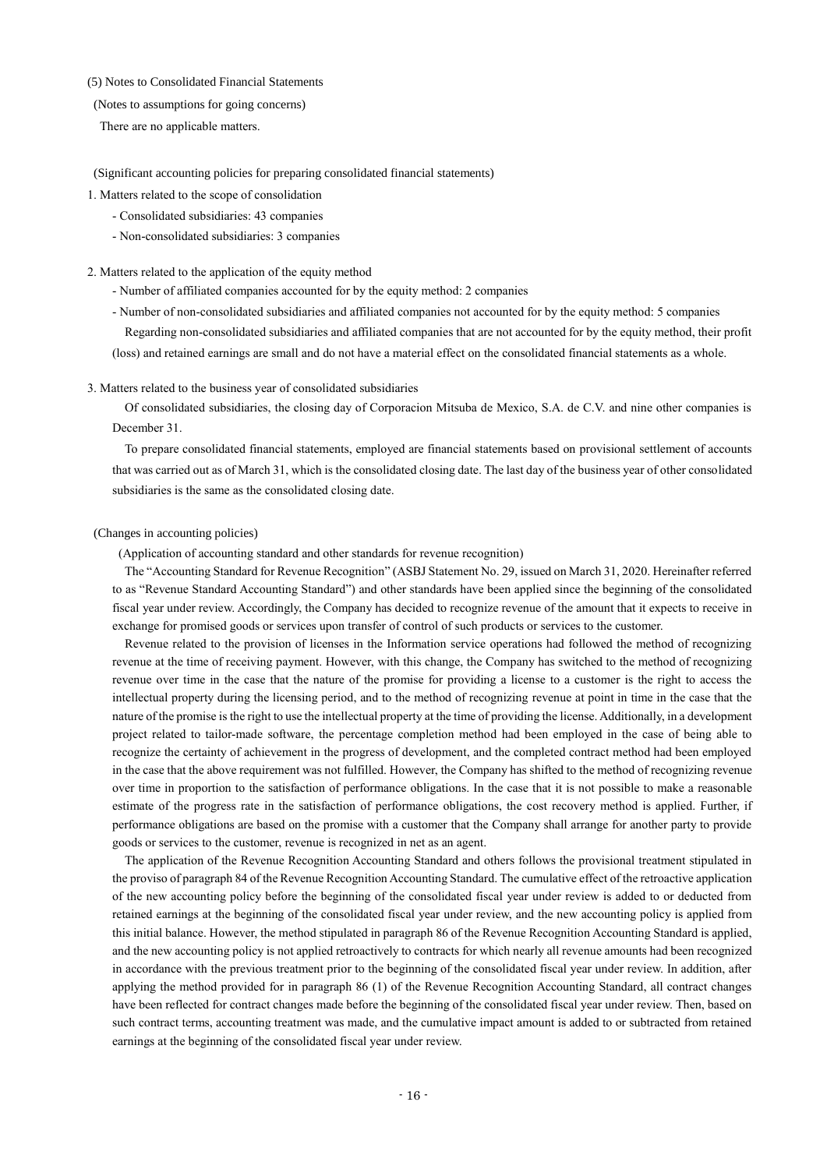## (5) Notes to Consolidated Financial Statements

### (Notes to assumptions for going concerns)

There are no applicable matters.

### (Significant accounting policies for preparing consolidated financial statements)

- 1. Matters related to the scope of consolidation
	- Consolidated subsidiaries: 43 companies
	- Non-consolidated subsidiaries: 3 companies

#### 2. Matters related to the application of the equity method

- Number of affiliated companies accounted for by the equity method: 2 companies

- Number of non-consolidated subsidiaries and affiliated companies not accounted for by the equity method: 5 companies Regarding non-consolidated subsidiaries and affiliated companies that are not accounted for by the equity method, their profit (loss) and retained earnings are small and do not have a material effect on the consolidated financial statements as a whole.

### 3. Matters related to the business year of consolidated subsidiaries

Of consolidated subsidiaries, the closing day of Corporacion Mitsuba de Mexico, S.A. de C.V. and nine other companies is December 31.

To prepare consolidated financial statements, employed are financial statements based on provisional settlement of accounts that was carried out as of March 31, which is the consolidated closing date. The last day of the business year of other consolidated subsidiaries is the same as the consolidated closing date.

### (Changes in accounting policies)

(Application of accounting standard and other standards for revenue recognition)

The "Accounting Standard for Revenue Recognition" (ASBJ Statement No. 29, issued on March 31, 2020. Hereinafter referred to as "Revenue Standard Accounting Standard") and other standards have been applied since the beginning of the consolidated fiscal year under review. Accordingly, the Company has decided to recognize revenue of the amount that it expects to receive in exchange for promised goods or services upon transfer of control of such products or services to the customer.

Revenue related to the provision of licenses in the Information service operations had followed the method of recognizing revenue at the time of receiving payment. However, with this change, the Company has switched to the method of recognizing revenue over time in the case that the nature of the promise for providing a license to a customer is the right to access the intellectual property during the licensing period, and to the method of recognizing revenue at point in time in the case that the nature of the promise is the right to use the intellectual property at the time of providing the license. Additionally, in a development project related to tailor-made software, the percentage completion method had been employed in the case of being able to recognize the certainty of achievement in the progress of development, and the completed contract method had been employed in the case that the above requirement was not fulfilled. However, the Company has shifted to the method of recognizing revenue over time in proportion to the satisfaction of performance obligations. In the case that it is not possible to make a reasonable estimate of the progress rate in the satisfaction of performance obligations, the cost recovery method is applied. Further, if performance obligations are based on the promise with a customer that the Company shall arrange for another party to provide goods or services to the customer, revenue is recognized in net as an agent.

The application of the Revenue Recognition Accounting Standard and others follows the provisional treatment stipulated in the proviso of paragraph 84 of the Revenue Recognition Accounting Standard. The cumulative effect of the retroactive application of the new accounting policy before the beginning of the consolidated fiscal year under review is added to or deducted from retained earnings at the beginning of the consolidated fiscal year under review, and the new accounting policy is applied from this initial balance. However, the method stipulated in paragraph 86 of the Revenue Recognition Accounting Standard is applied, and the new accounting policy is not applied retroactively to contracts for which nearly all revenue amounts had been recognized in accordance with the previous treatment prior to the beginning of the consolidated fiscal year under review. In addition, after applying the method provided for in paragraph 86 (1) of the Revenue Recognition Accounting Standard, all contract changes have been reflected for contract changes made before the beginning of the consolidated fiscal year under review. Then, based on such contract terms, accounting treatment was made, and the cumulative impact amount is added to or subtracted from retained earnings at the beginning of the consolidated fiscal year under review.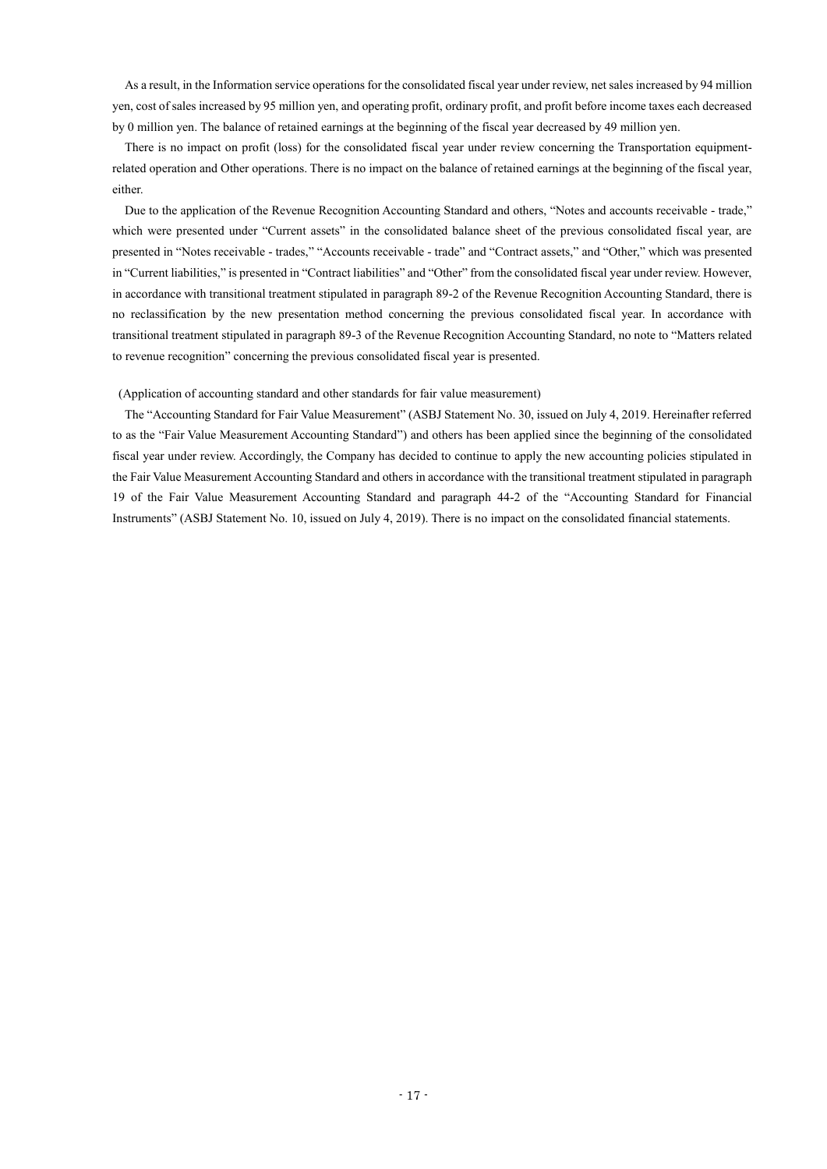As a result, in the Information service operations for the consolidated fiscal year under review, net sales increased by 94 million yen, cost of sales increased by 95 million yen, and operating profit, ordinary profit, and profit before income taxes each decreased by 0 million yen. The balance of retained earnings at the beginning of the fiscal year decreased by 49 million yen.

There is no impact on profit (loss) for the consolidated fiscal year under review concerning the Transportation equipmentrelated operation and Other operations. There is no impact on the balance of retained earnings at the beginning of the fiscal year, either.

Due to the application of the Revenue Recognition Accounting Standard and others, "Notes and accounts receivable - trade," which were presented under "Current assets" in the consolidated balance sheet of the previous consolidated fiscal year, are presented in "Notes receivable - trades," "Accounts receivable - trade" and "Contract assets," and "Other," which was presented in "Current liabilities," is presented in "Contract liabilities" and "Other" from the consolidated fiscal year under review. However, in accordance with transitional treatment stipulated in paragraph 89-2 of the Revenue Recognition Accounting Standard, there is no reclassification by the new presentation method concerning the previous consolidated fiscal year. In accordance with transitional treatment stipulated in paragraph 89-3 of the Revenue Recognition Accounting Standard, no note to "Matters related to revenue recognition" concerning the previous consolidated fiscal year is presented.

### (Application of accounting standard and other standards for fair value measurement)

The "Accounting Standard for Fair Value Measurement" (ASBJ Statement No. 30, issued on July 4, 2019. Hereinafter referred to as the "Fair Value Measurement Accounting Standard") and others has been applied since the beginning of the consolidated fiscal year under review. Accordingly, the Company has decided to continue to apply the new accounting policies stipulated in the Fair Value Measurement Accounting Standard and others in accordance with the transitional treatment stipulated in paragraph 19 of the Fair Value Measurement Accounting Standard and paragraph 44-2 of the "Accounting Standard for Financial Instruments" (ASBJ Statement No. 10, issued on July 4, 2019). There is no impact on the consolidated financial statements.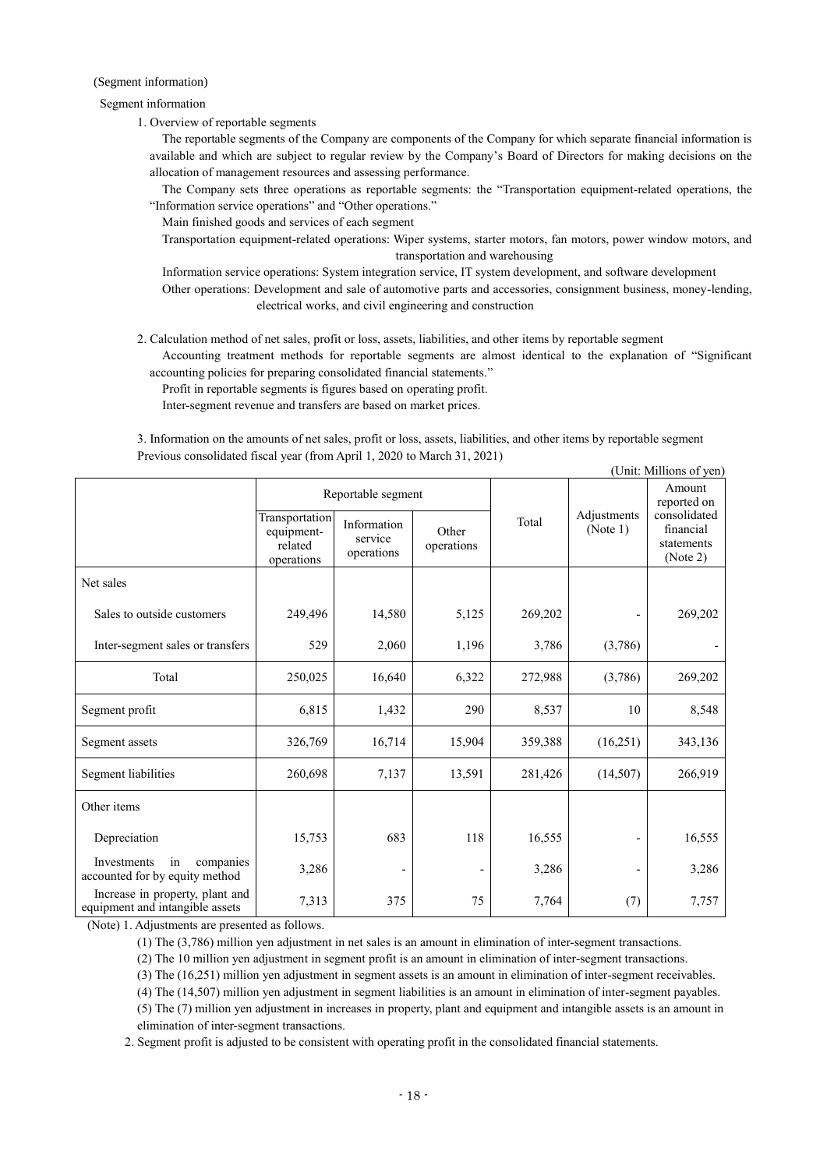### (Segment information)

### Segment information

1. Overview of reportable segments

The reportable segments of the Company are components of the Company for which separate financial information is available and which are subject to regular review by the Company's Board of Directors for making decisions on the allocation of management resources and assessing performance.

The Company sets three operations as reportable segments: the "Transportation equipment-related operations, the "Information service operations" and "Other operations."

Main finished goods and services of each segment

Transportation equipment-related operations: Wiper systems, starter motors, fan motors, power window motors, and transportation and warehousing

Information service operations: System integration service, IT system development, and software development Other operations: Development and sale of automotive parts and accessories, consignment business, money-lending, electrical works, and civil engineering and construction

2. Calculation method of net sales, profit or loss, assets, liabilities, and other items by reportable segment

Accounting treatment methods for reportable segments are almost identical to the explanation of "Significant accounting policies for preparing consolidated financial statements."

Profit in reportable segments is figures based on operating profit.

Inter-segment revenue and transfers are based on market prices.

3. Information on the amounts of net sales, profit or loss, assets, liabilities, and other items by reportable segment Previous consolidated fiscal year (from April 1, 2020 to March 31, 2021)  $(TU)$ : Millions of  $(TU)$ 

|                                                                    | (Unit: Millions of yen                                |                                      |                     |         |                          |                                                     |  |  |
|--------------------------------------------------------------------|-------------------------------------------------------|--------------------------------------|---------------------|---------|--------------------------|-----------------------------------------------------|--|--|
|                                                                    | Reportable segment                                    |                                      |                     |         |                          | Amount<br>reported on                               |  |  |
|                                                                    | Transportation<br>equipment-<br>related<br>operations | Information<br>service<br>operations | Other<br>operations | Total   | Adjustments<br>(Note 1)  | consolidated<br>financial<br>statements<br>(Note 2) |  |  |
| Net sales                                                          |                                                       |                                      |                     |         |                          |                                                     |  |  |
| Sales to outside customers                                         | 249,496                                               | 14,580                               | 5,125               | 269,202 |                          | 269,202                                             |  |  |
| Inter-segment sales or transfers                                   | 529                                                   | 2,060                                | 1,196               | 3,786   | (3,786)                  |                                                     |  |  |
| Total                                                              | 250,025                                               | 16,640                               | 6,322               | 272,988 | (3,786)                  | 269,202                                             |  |  |
| Segment profit                                                     | 6,815                                                 | 1,432                                | 290                 | 8,537   | 10                       | 8,548                                               |  |  |
| Segment assets                                                     | 326,769                                               | 16,714                               | 15,904              | 359,388 | (16,251)                 | 343,136                                             |  |  |
| Segment liabilities                                                | 260,698                                               | 7,137                                | 13,591              | 281,426 | (14,507)                 | 266,919                                             |  |  |
| Other items                                                        |                                                       |                                      |                     |         |                          |                                                     |  |  |
| Depreciation                                                       | 15,753                                                | 683                                  | 118                 | 16,555  | $\overline{\phantom{a}}$ | 16,555                                              |  |  |
| Investments<br>in<br>companies<br>accounted for by equity method   | 3,286                                                 |                                      |                     | 3,286   |                          | 3,286                                               |  |  |
| Increase in property, plant and<br>equipment and intangible assets | 7,313                                                 | 375                                  | 75                  | 7,764   | (7)                      | 7,757                                               |  |  |

(Note) 1. Adjustments are presented as follows.

(1) The (3,786) million yen adjustment in net sales is an amount in elimination of inter-segment transactions.

(2) The 10 million yen adjustment in segment profit is an amount in elimination of inter-segment transactions.

(3) The (16,251) million yen adjustment in segment assets is an amount in elimination of inter-segment receivables.

(4) The (14,507) million yen adjustment in segment liabilities is an amount in elimination of inter-segment payables.

(5) The (7) million yen adjustment in increases in property, plant and equipment and intangible assets is an amount in elimination of inter-segment transactions.

2. Segment profit is adjusted to be consistent with operating profit in the consolidated financial statements.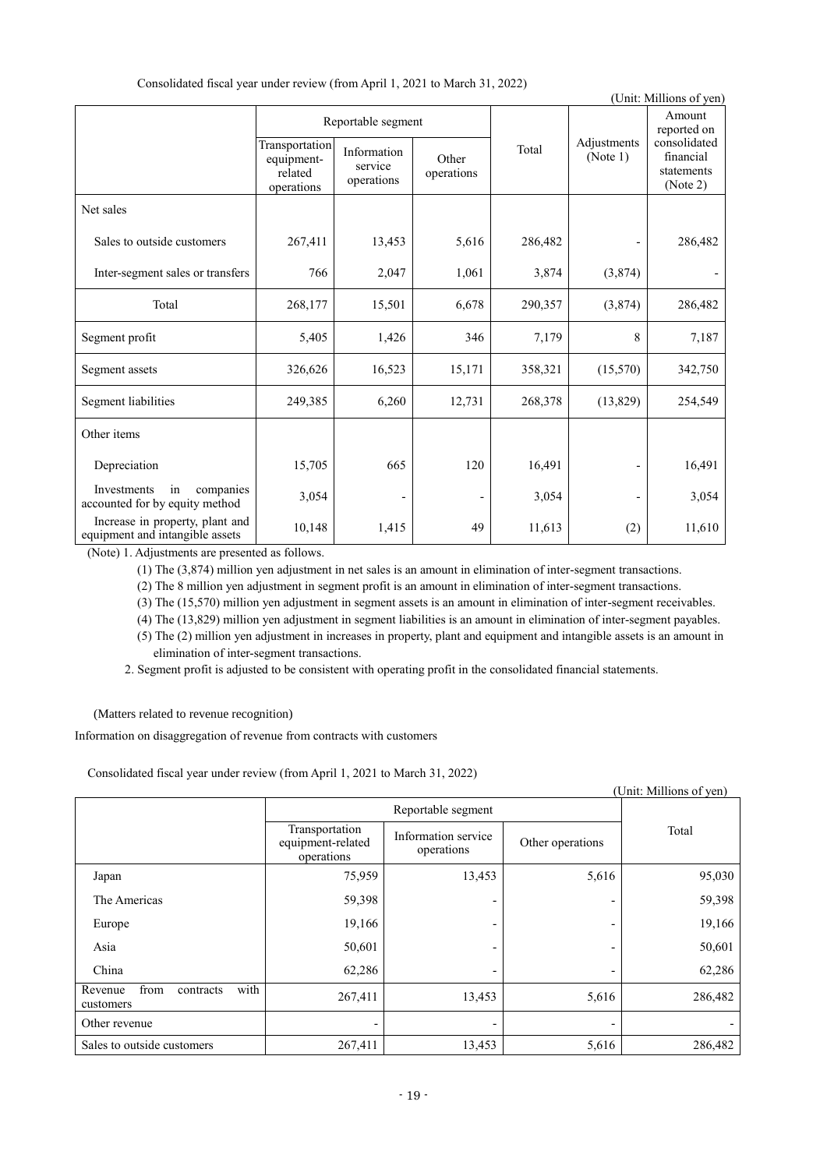Consolidated fiscal year under review (from April 1, 2021 to March 31, 2022)

|                                                                    |                                                       |                                      |                          |         |                         | (Unit: Millions of yen)                             |
|--------------------------------------------------------------------|-------------------------------------------------------|--------------------------------------|--------------------------|---------|-------------------------|-----------------------------------------------------|
|                                                                    |                                                       | Reportable segment                   |                          |         |                         | Amount<br>reported on                               |
|                                                                    | Transportation<br>equipment-<br>related<br>operations | Information<br>service<br>operations | Other<br>operations      | Total   | Adjustments<br>(Note 1) | consolidated<br>financial<br>statements<br>(Note 2) |
| Net sales                                                          |                                                       |                                      |                          |         |                         |                                                     |
| Sales to outside customers                                         | 267,411                                               | 13,453                               | 5,616                    | 286,482 |                         | 286,482                                             |
| Inter-segment sales or transfers                                   | 766                                                   | 2,047                                | 1,061                    | 3,874   | (3,874)                 |                                                     |
| Total                                                              | 268,177                                               | 15,501                               | 6,678                    | 290,357 | (3,874)                 | 286,482                                             |
| Segment profit                                                     | 5,405                                                 | 1,426                                | 346                      | 7,179   | 8                       | 7,187                                               |
| Segment assets                                                     | 326,626                                               | 16,523                               | 15,171                   | 358,321 | (15,570)                | 342,750                                             |
| Segment liabilities                                                | 249,385                                               | 6,260                                | 12,731                   | 268,378 | (13,829)                | 254,549                                             |
| Other items                                                        |                                                       |                                      |                          |         |                         |                                                     |
| Depreciation                                                       | 15,705                                                | 665                                  | 120                      | 16,491  |                         | 16,491                                              |
| Investments<br>in<br>companies<br>accounted for by equity method   | 3,054                                                 |                                      | $\overline{\phantom{a}}$ | 3,054   |                         | 3,054                                               |
| Increase in property, plant and<br>equipment and intangible assets | 10,148                                                | 1,415                                | 49                       | 11,613  | (2)                     | 11,610                                              |

(Note) 1. Adjustments are presented as follows.

(1) The (3,874) million yen adjustment in net sales is an amount in elimination of inter-segment transactions.

(2) The 8 million yen adjustment in segment profit is an amount in elimination of inter-segment transactions.

(3) The (15,570) million yen adjustment in segment assets is an amount in elimination of inter-segment receivables.

(4) The (13,829) million yen adjustment in segment liabilities is an amount in elimination of inter-segment payables.

(5) The (2) million yen adjustment in increases in property, plant and equipment and intangible assets is an amount in elimination of inter-segment transactions.

2. Segment profit is adjusted to be consistent with operating profit in the consolidated financial statements.

(Matters related to revenue recognition)

Information on disaggregation of revenue from contracts with customers

Consolidated fiscal year under review (from April 1, 2021 to March 31, 2022)

|                                                   |                                                   |                                   |                              | (Unit: Millions of yen) |
|---------------------------------------------------|---------------------------------------------------|-----------------------------------|------------------------------|-------------------------|
|                                                   | Reportable segment                                |                                   |                              |                         |
|                                                   | Transportation<br>equipment-related<br>operations | Information service<br>operations | Other operations             | Total                   |
| Japan                                             | 75,959                                            | 13,453                            | 5,616                        | 95,030                  |
| The Americas                                      | 59,398                                            |                                   | -                            | 59,398                  |
| Europe                                            | 19,166                                            |                                   | -                            | 19,166                  |
| Asia                                              | 50,601                                            |                                   | $\qquad \qquad \blacksquare$ | 50,601                  |
| China                                             | 62,286                                            |                                   | -                            | 62,286                  |
| from<br>with<br>Revenue<br>contracts<br>customers | 267,411                                           | 13,453                            | 5,616                        | 286,482                 |
| Other revenue                                     |                                                   |                                   |                              |                         |
| Sales to outside customers                        | 267,411                                           | 13,453                            | 5,616                        | 286,482                 |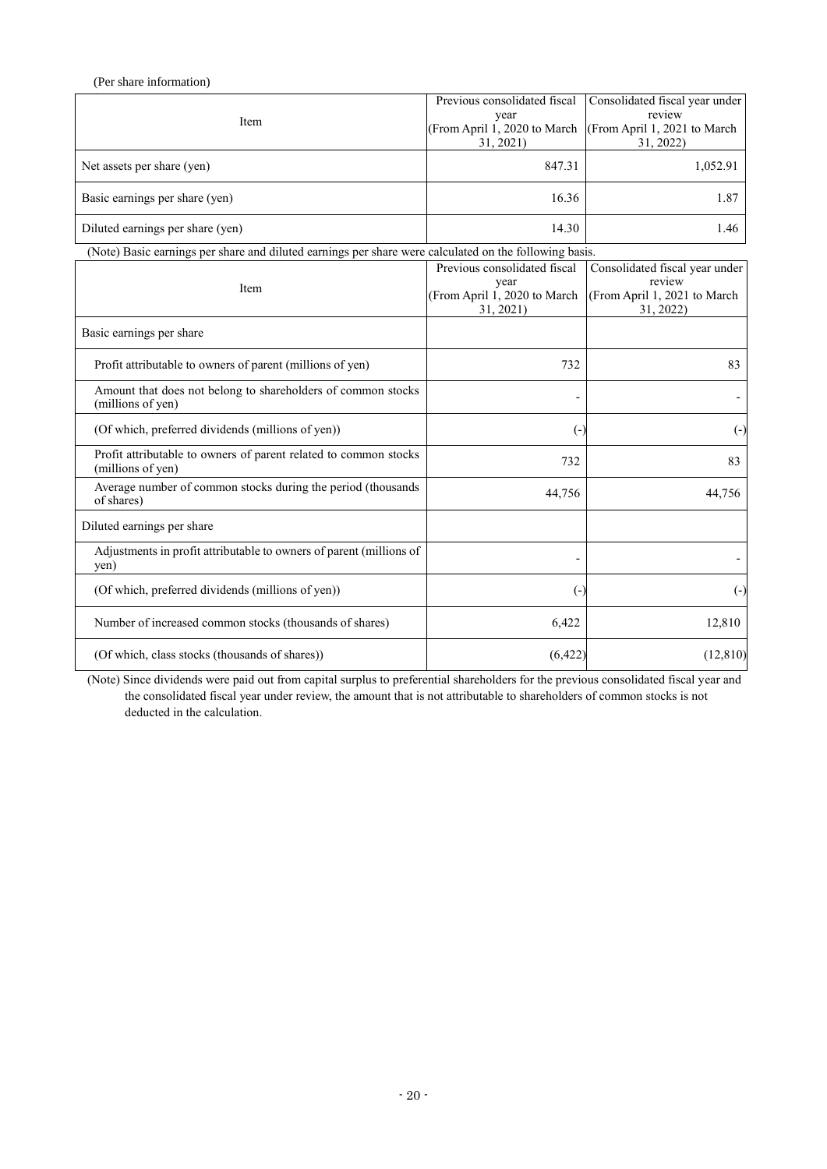| (Per share information)                                                                                |                                                                                   |                                                                                       |  |  |  |
|--------------------------------------------------------------------------------------------------------|-----------------------------------------------------------------------------------|---------------------------------------------------------------------------------------|--|--|--|
| Item                                                                                                   | Previous consolidated fiscal<br>year<br>(From April 1, 2020 to March<br>31, 2021) | Consolidated fiscal year under<br>review<br>(From April 1, 2021 to March<br>31, 2022) |  |  |  |
| Net assets per share (yen)                                                                             | 847.31                                                                            | 1,052.91                                                                              |  |  |  |
| Basic earnings per share (yen)                                                                         | 16.36                                                                             | 1.87                                                                                  |  |  |  |
| Diluted earnings per share (yen)                                                                       | 14.30                                                                             | 1.46                                                                                  |  |  |  |
| (Note) Basic earnings per share and diluted earnings per share were calculated on the following basis. |                                                                                   |                                                                                       |  |  |  |
|                                                                                                        | Previous consolidated fiscal                                                      | Consolidated fiscal year under                                                        |  |  |  |
| Item                                                                                                   | year<br>(From April 1, 2020 to March<br>31, 2021)                                 | review<br>(From April 1, 2021 to March<br>31, 2022)                                   |  |  |  |
| Basic earnings per share                                                                               |                                                                                   |                                                                                       |  |  |  |
| Profit attributable to owners of parent (millions of yen)                                              | 732                                                                               | 83                                                                                    |  |  |  |
| Amount that does not belong to shareholders of common stocks<br>(millions of yen)                      |                                                                                   |                                                                                       |  |  |  |
| (Of which, preferred dividends (millions of yen))                                                      | $\left( \cdot \right)$                                                            | $\left( -\right)$                                                                     |  |  |  |
| Profit attributable to owners of parent related to common stocks<br>(millions of yen)                  | 732                                                                               | 83                                                                                    |  |  |  |
| Average number of common stocks during the period (thousands<br>of shares)                             | 44,756                                                                            | 44,756                                                                                |  |  |  |
| Diluted earnings per share                                                                             |                                                                                   |                                                                                       |  |  |  |
| Adjustments in profit attributable to owners of parent (millions of<br>yen)                            |                                                                                   |                                                                                       |  |  |  |
| (Of which, preferred dividends (millions of yen))                                                      | $\left( \cdot \right)$                                                            | $\left( \cdot \right)$                                                                |  |  |  |
| Number of increased common stocks (thousands of shares)                                                | 6,422                                                                             | 12,810                                                                                |  |  |  |
| (Of which, class stocks (thousands of shares))                                                         | (6,422)                                                                           | (12, 810)                                                                             |  |  |  |

(Note) Since dividends were paid out from capital surplus to preferential shareholders for the previous consolidated fiscal year and the consolidated fiscal year under review, the amount that is not attributable to shareholders of common stocks is not deducted in the calculation.